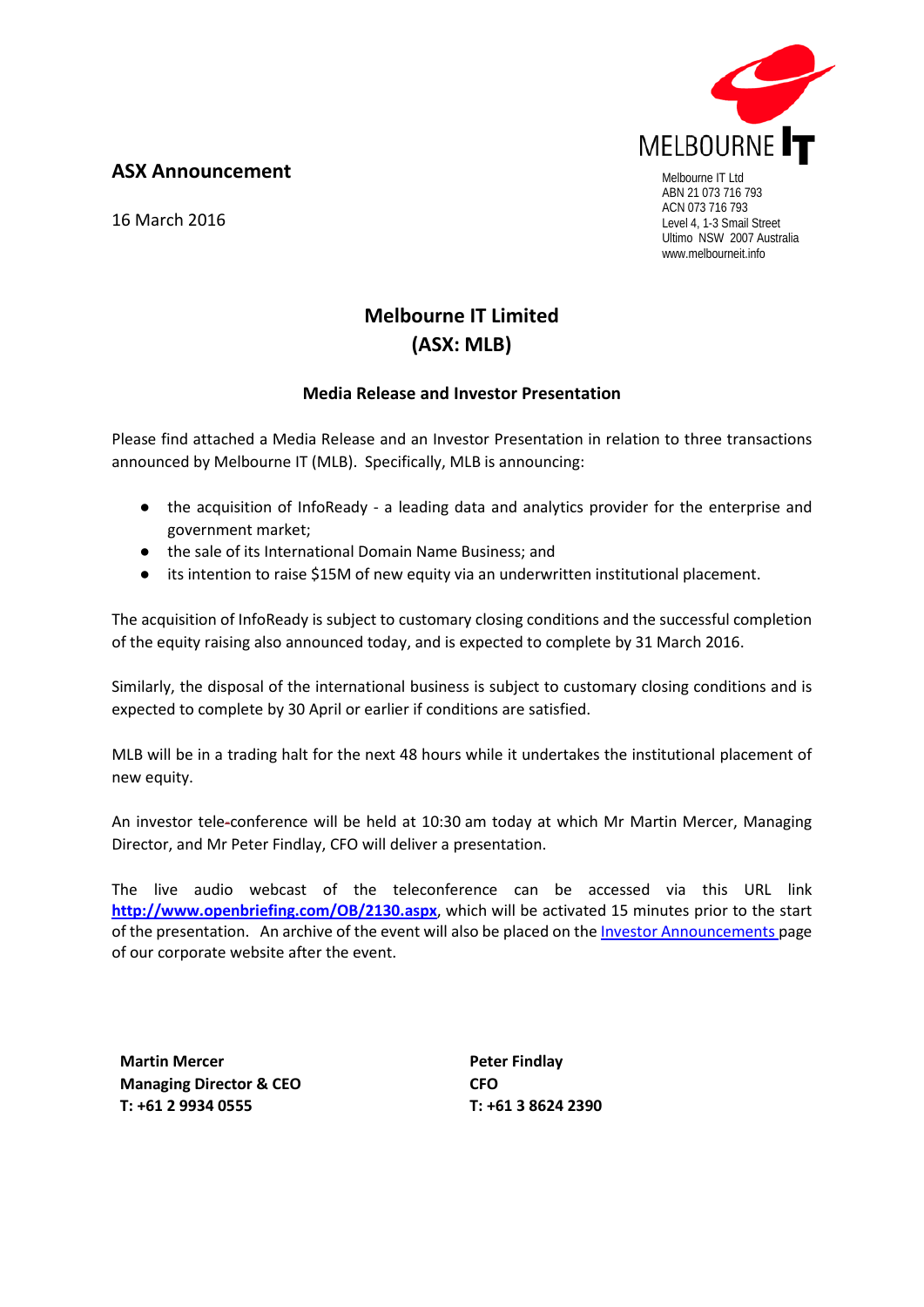## **ASX Announcement**

16 March 2016



Melbourne IT Ltd ABN 21 073 716 793 ACN 073 716 793 Level 4, 1-3 Smail Street Ultimo NSW 2007 Australia www.melbourneit.info

## **Melbourne IT Limited (ASX: MLB)**

## **Media Release and Investor Presentation**

Please find attached a Media Release and an Investor Presentation in relation to three transactions announced by Melbourne IT (MLB). Specifically, MLB is announcing:

- the acquisition of InfoReady a leading data and analytics provider for the enterprise and government market;
- the sale of its International Domain Name Business; and
- its intention to raise \$15M of new equity via an underwritten institutional placement.

The acquisition of InfoReady is subject to customary closing conditions and the successful completion of the equity raising also announced today, and is expected to complete by 31 March 2016.

Similarly, the disposal of the international business is subject to customary closing conditions and is expected to complete by 30 April or earlier if conditions are satisfied.

MLB will be in a trading halt for the next 48 hours while it undertakes the institutional placement of new equity.

An investor tele-conference will be held at 10:30 am today at which Mr Martin Mercer, Managing Director, and Mr Peter Findlay, CFO will deliver a presentation.

The live audio webcast of the teleconference can be accessed via this URL link **<http://www.openbriefing.com/OB/2130.aspx>**, which will be activated 15 minutes prior to the start of the presentation. An archive of the event will also be placed on the [Investor Announcements p](http://melbourneit.info/investor-centre/company-announcements)age of our corporate website after the event.

**Martin Mercer Managing Director & CEO T: +61 2 9934 0555**

**Peter Findlay CFO T: +61 3 8624 2390**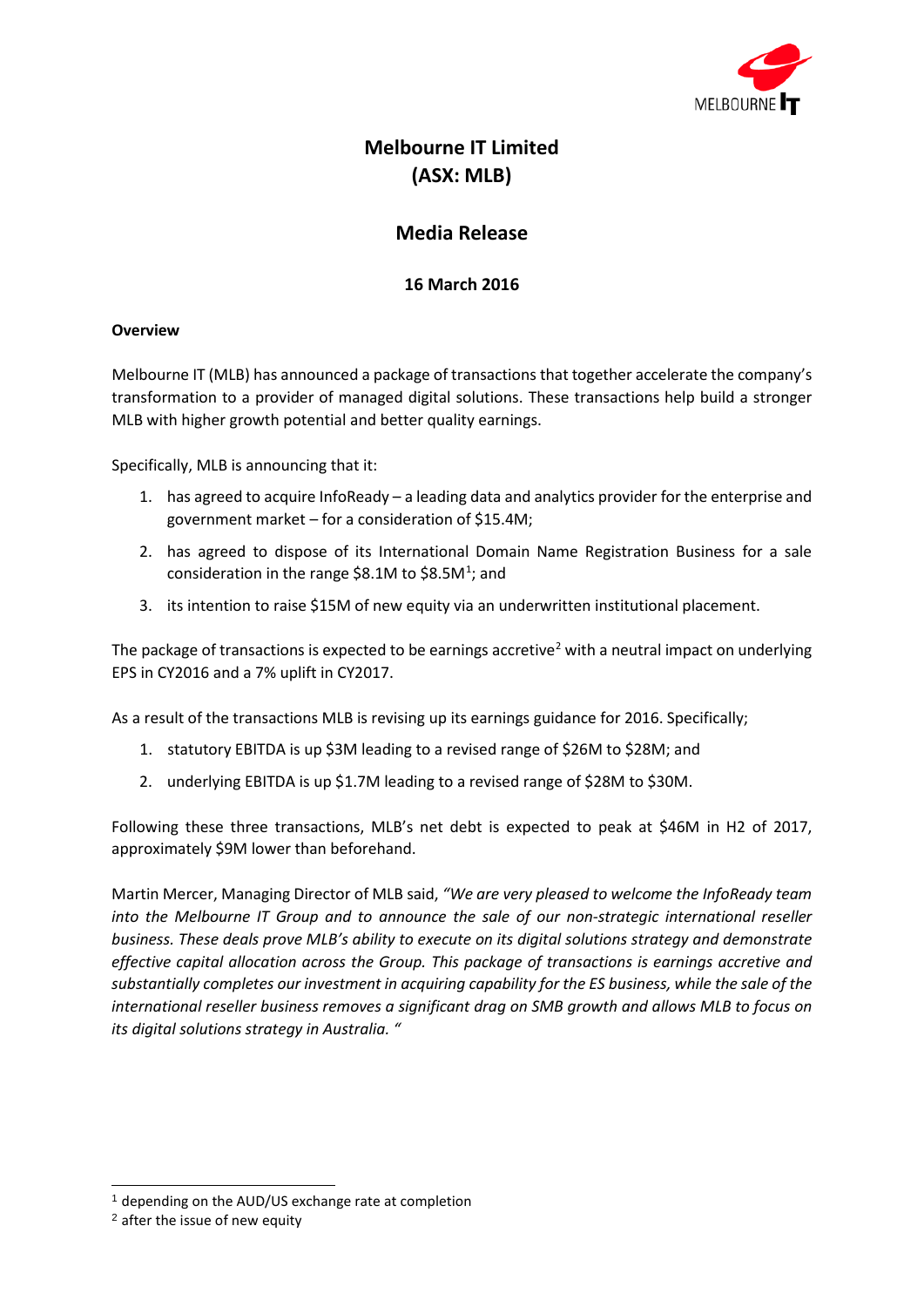

## **Melbourne IT Limited (ASX: MLB)**

## **Media Release**

## **16 March 2016**

## **Overview**

Melbourne IT (MLB) has announced a package of transactions that together accelerate the company's transformation to a provider of managed digital solutions. These transactions help build a stronger MLB with higher growth potential and better quality earnings.

Specifically, MLB is announcing that it:

- 1. has agreed to acquire InfoReady a leading data and analytics provider for the enterprise and government market – for a consideration of \$15.4M;
- 2. has agreed to dispose of its International Domain Name Registration Business for a sale consideration in the range \$8.[1](#page-1-0)M to \$8.5M<sup>1</sup>; and
- 3. its intention to raise \$15M of new equity via an underwritten institutional placement.

The package of transactions is expected to be earnings accretive<sup>[2](#page-1-1)</sup> with a neutral impact on underlying EPS in CY2016 and a 7% uplift in CY2017.

As a result of the transactions MLB is revising up its earnings guidance for 2016. Specifically;

- 1. statutory EBITDA is up \$3M leading to a revised range of \$26M to \$28M; and
- 2. underlying EBITDA is up \$1.7M leading to a revised range of \$28M to \$30M.

Following these three transactions, MLB's net debt is expected to peak at \$46M in H2 of 2017, approximately \$9M lower than beforehand.

Martin Mercer, Managing Director of MLB said, *"We are very pleased to welcome the InfoReady team into the Melbourne IT Group and to announce the sale of our non-strategic international reseller business. These deals prove MLB's ability to execute on its digital solutions strategy and demonstrate effective capital allocation across the Group. This package of transactions is earnings accretive and substantially completes our investment in acquiring capability for the ES business, while the sale of the international reseller business removes a significant drag on SMB growth and allows MLB to focus on its digital solutions strategy in Australia. "*

<span id="page-1-0"></span> <sup>1</sup> depending on the AUD/US exchange rate at completion

<span id="page-1-1"></span><sup>2</sup> after the issue of new equity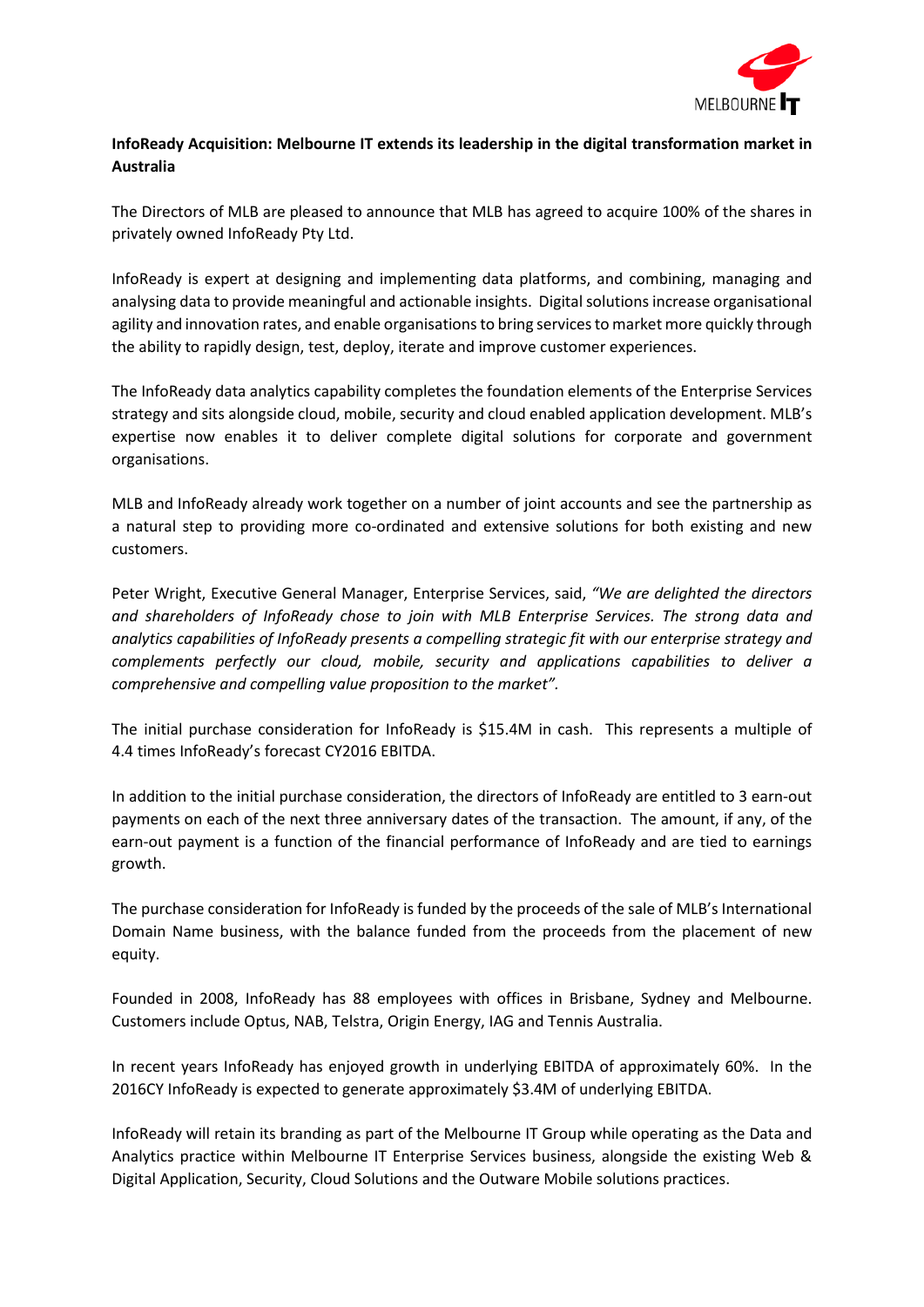

## **InfoReady Acquisition: Melbourne IT extends its leadership in the digital transformation market in Australia**

The Directors of MLB are pleased to announce that MLB has agreed to acquire 100% of the shares in privately owned InfoReady Pty Ltd.

InfoReady is expert at designing and implementing data platforms, and combining, managing and analysing data to provide meaningful and actionable insights. Digital solutions increase organisational agility and innovation rates, and enable organisations to bring services to market more quickly through the ability to rapidly design, test, deploy, iterate and improve customer experiences.

The InfoReady data analytics capability completes the foundation elements of the Enterprise Services strategy and sits alongside cloud, mobile, security and cloud enabled application development. MLB's expertise now enables it to deliver complete digital solutions for corporate and government organisations.

MLB and InfoReady already work together on a number of joint accounts and see the partnership as a natural step to providing more co-ordinated and extensive solutions for both existing and new customers.

Peter Wright, Executive General Manager, Enterprise Services, said, *"We are delighted the directors and shareholders of InfoReady chose to join with MLB Enterprise Services. The strong data and analytics capabilities of InfoReady presents a compelling strategic fit with our enterprise strategy and complements perfectly our cloud, mobile, security and applications capabilities to deliver a comprehensive and compelling value proposition to the market".*

The initial purchase consideration for InfoReady is \$15.4M in cash. This represents a multiple of 4.4 times InfoReady's forecast CY2016 EBITDA.

In addition to the initial purchase consideration, the directors of InfoReady are entitled to 3 earn-out payments on each of the next three anniversary dates of the transaction. The amount, if any, of the earn-out payment is a function of the financial performance of InfoReady and are tied to earnings growth.

The purchase consideration for InfoReady is funded by the proceeds of the sale of MLB's International Domain Name business, with the balance funded from the proceeds from the placement of new equity.

Founded in 2008, InfoReady has 88 employees with offices in Brisbane, Sydney and Melbourne. Customers include Optus, NAB, Telstra, Origin Energy, IAG and Tennis Australia.

In recent years InfoReady has enjoyed growth in underlying EBITDA of approximately 60%. In the 2016CY InfoReady is expected to generate approximately \$3.4M of underlying EBITDA.

InfoReady will retain its branding as part of the Melbourne IT Group while operating as the Data and Analytics practice within Melbourne IT Enterprise Services business, alongside the existing Web & Digital Application, Security, Cloud Solutions and the Outware Mobile solutions practices.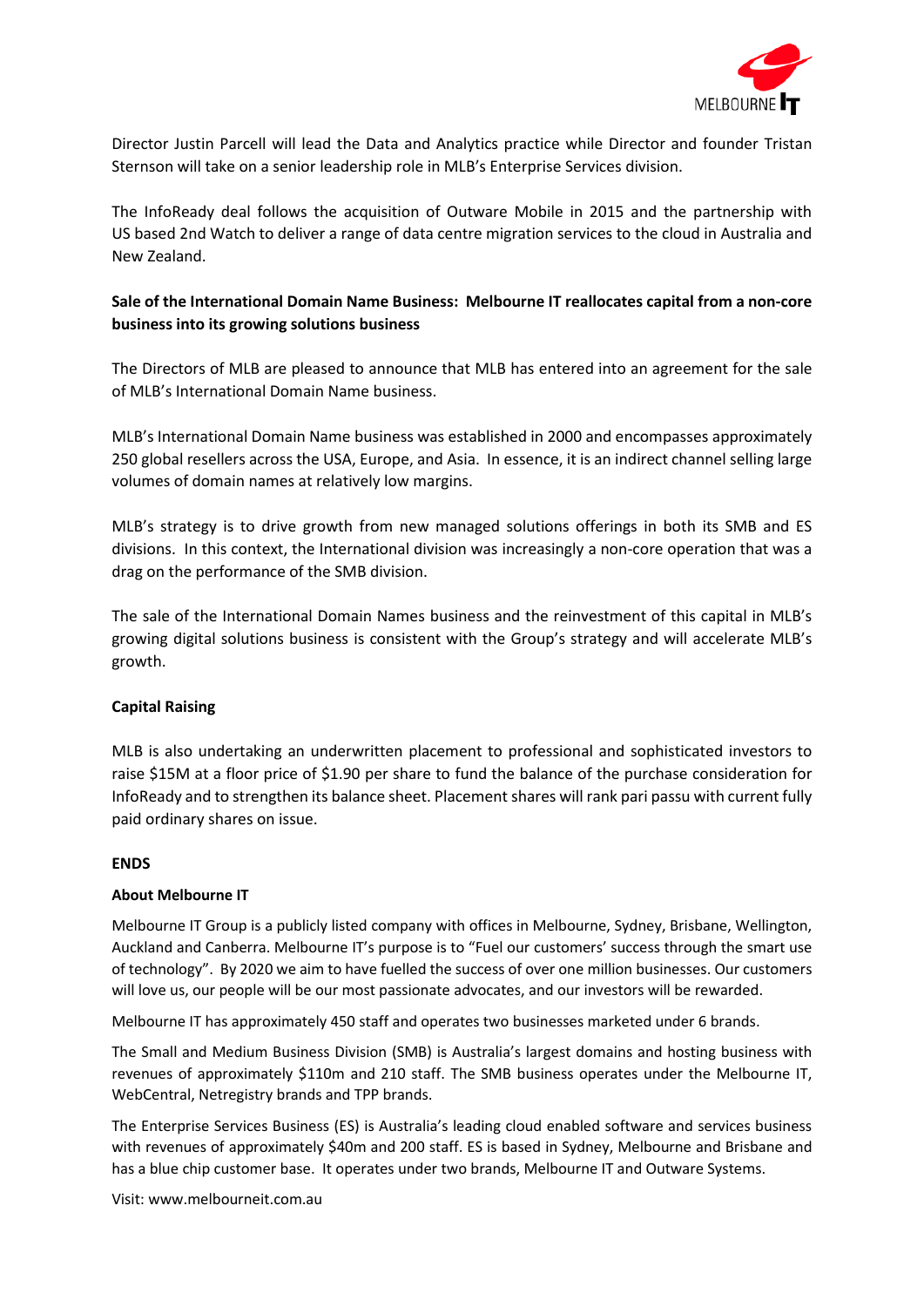

Director Justin Parcell will lead the Data and Analytics practice while Director and founder Tristan Sternson will take on a senior leadership role in MLB's Enterprise Services division.

The InfoReady deal follows the acquisition of Outware Mobile in 2015 and the partnership with US based 2nd Watch to deliver a range of data centre migration services to the cloud in Australia and New Zealand.

## **Sale of the International Domain Name Business: Melbourne IT reallocates capital from a non-core business into its growing solutions business**

The Directors of MLB are pleased to announce that MLB has entered into an agreement for the sale of MLB's International Domain Name business.

MLB's International Domain Name business was established in 2000 and encompasses approximately 250 global resellers across the USA, Europe, and Asia. In essence, it is an indirect channel selling large volumes of domain names at relatively low margins.

MLB's strategy is to drive growth from new managed solutions offerings in both its SMB and ES divisions. In this context, the International division was increasingly a non-core operation that was a drag on the performance of the SMB division.

The sale of the International Domain Names business and the reinvestment of this capital in MLB's growing digital solutions business is consistent with the Group's strategy and will accelerate MLB's growth.

### **Capital Raising**

MLB is also undertaking an underwritten placement to professional and sophisticated investors to raise \$15M at a floor price of \$1.90 per share to fund the balance of the purchase consideration for InfoReady and to strengthen its balance sheet. Placement shares will rank pari passu with current fully paid ordinary shares on issue.

### **ENDS**

### **About Melbourne IT**

Melbourne IT Group is a publicly listed company with offices in Melbourne, Sydney, Brisbane, Wellington, Auckland and Canberra. Melbourne IT's purpose is to "Fuel our customers' success through the smart use of technology". By 2020 we aim to have fuelled the success of over one million businesses. Our customers will love us, our people will be our most passionate advocates, and our investors will be rewarded.

Melbourne IT has approximately 450 staff and operates two businesses marketed under 6 brands.

The Small and Medium Business Division (SMB) is Australia's largest domains and hosting business with revenues of approximately \$110m and 210 staff. The SMB business operates under the Melbourne IT, WebCentral, Netregistry brands and TPP brands.

The Enterprise Services Business (ES) is Australia's leading cloud enabled software and services business with revenues of approximately \$40m and 200 staff. ES is based in Sydney, Melbourne and Brisbane and has a blue chip customer base. It operates under two brands, Melbourne IT and Outware Systems.

Visit[: www.melbourneit.com.au](http://www.melbourneit.com.au/)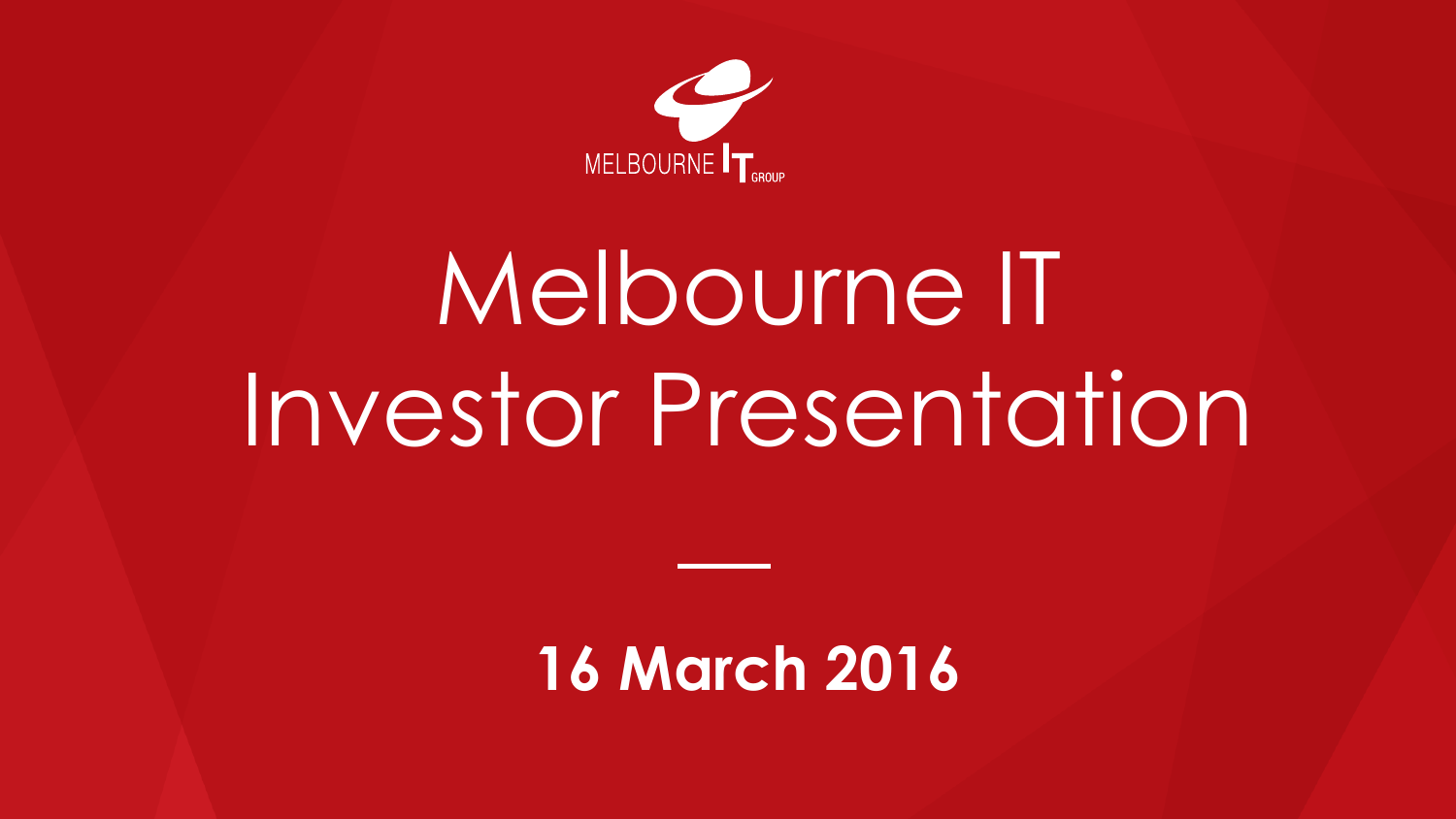

# Melbourne IT Investor Presentation

**16 March 2016**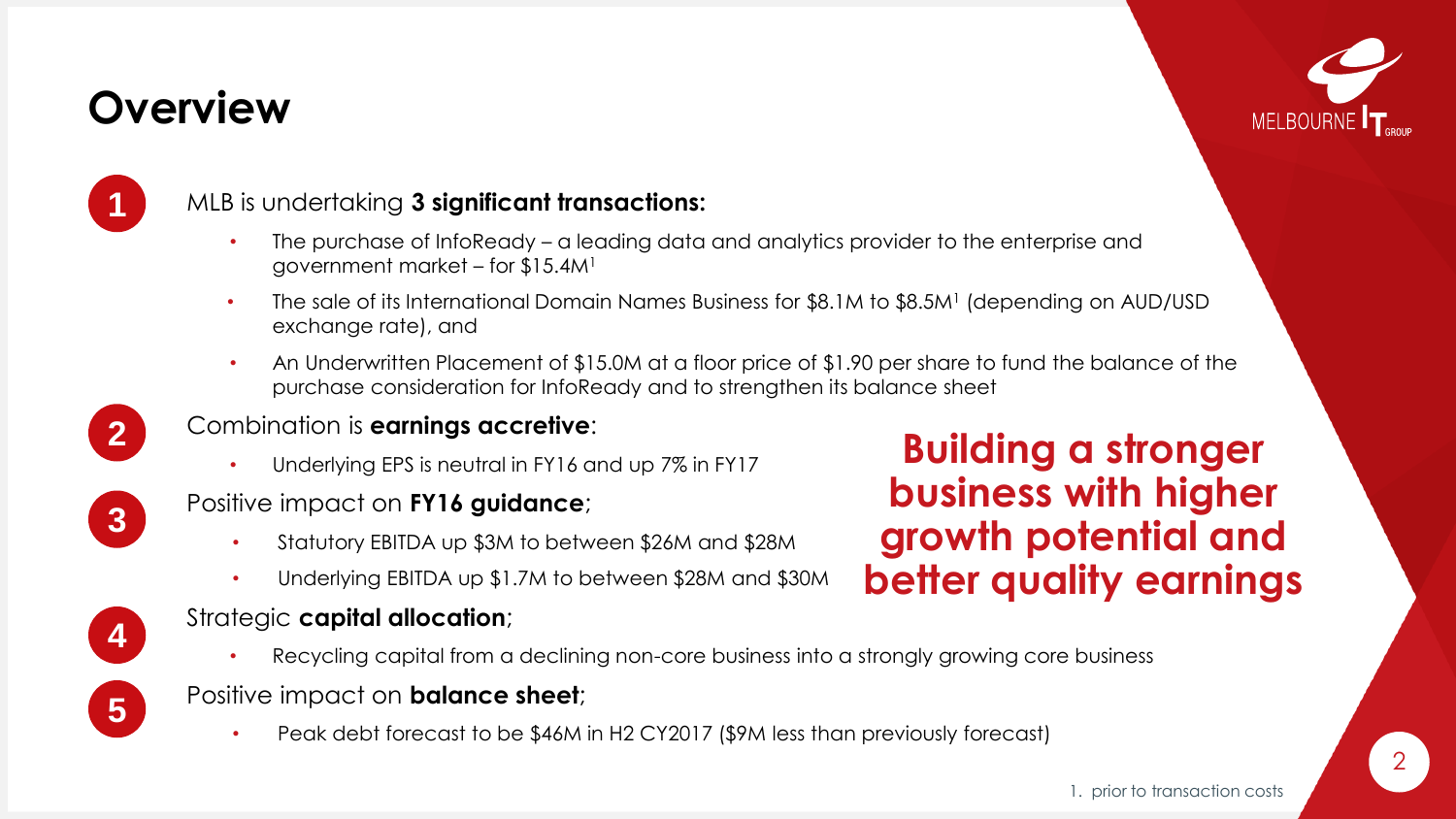# **Overview**





## MLB is undertaking **3 significant transactions:**

- The purchase of InfoReady a leading data and analytics provider to the enterprise and government market – for \$15.4M<sup>1</sup>
- The sale of its International Domain Names Business for  $$8.1M$  to  $$8.5M<sup>1</sup>$  (depending on AUD/USD exchange rate), and
- An Underwritten Placement of \$15.0M at a floor price of \$1.90 per share to fund the balance of the purchase consideration for InfoReady and to strengthen its balance sheet



## Combination is **earnings accretive**:

• Underlying EPS is neutral in FY16 and up 7% in FY17



## Positive impact on **FY16 guidance**;

- Statutory EBITDA up \$3M to between \$26M and \$28M
- Underlying EBITDA up \$1.7M to between \$28M and \$30M



## Strategic **capital allocation**;

• Recycling capital from a declining non-core business into a strongly growing core business



- Positive impact on **balance sheet**;
	- Peak debt forecast to be \$46M in H2 CY2017 (\$9M less than previously forecast)

**Building a stronger business with higher growth potential and better quality earnings**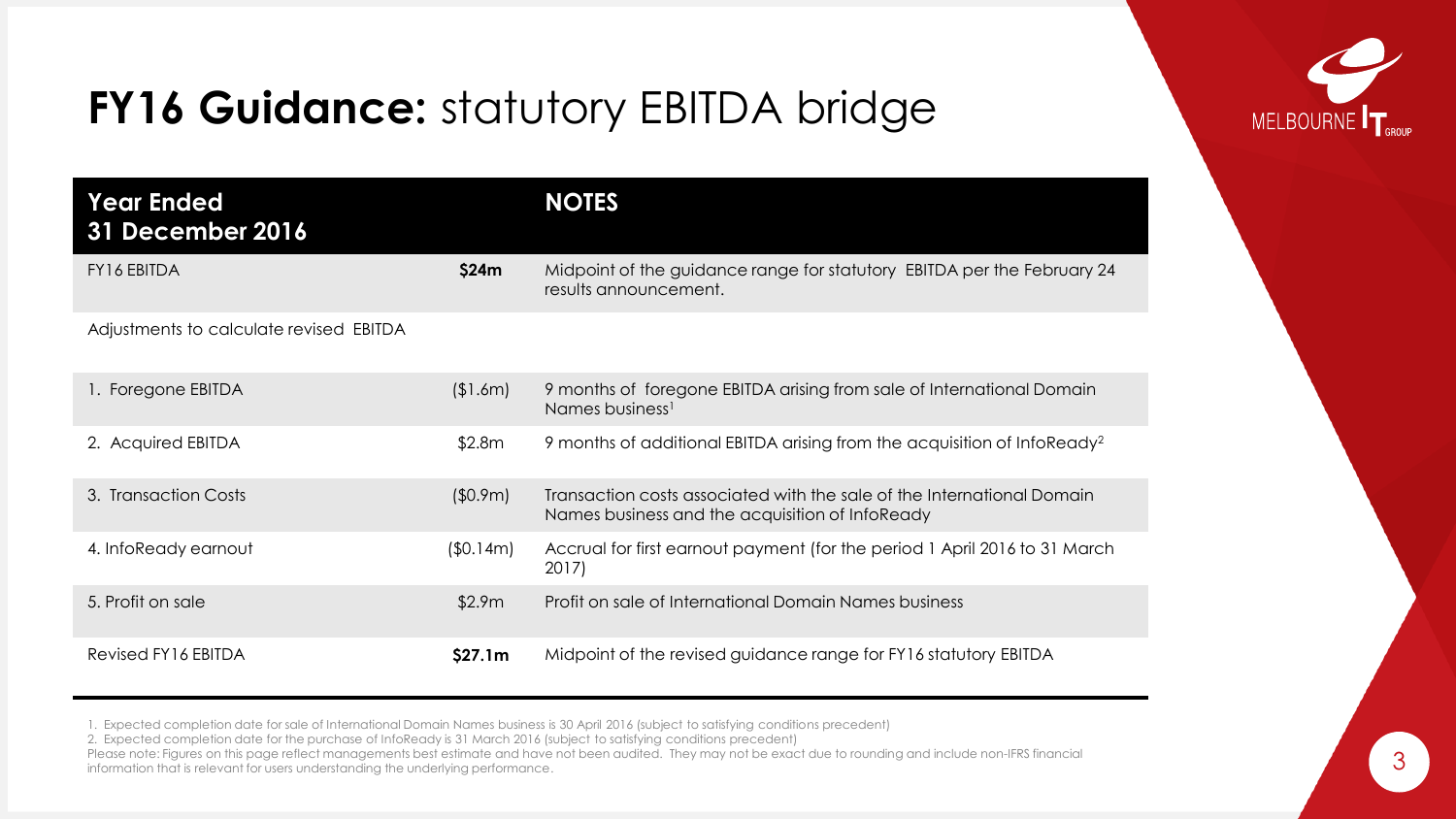

# **FY16 Guidance:** statutory EBITDA bridge

| <b>Year Ended</b><br><b>31 December 2016</b> |              | <b>NOTES</b>                                                                                                              |
|----------------------------------------------|--------------|---------------------------------------------------------------------------------------------------------------------------|
| <b>FY16 EBITDA</b>                           | \$24m        | Midpoint of the guidance range for statutory EBITDA per the February 24<br>results announcement.                          |
| Adjustments to calculate revised EBITDA      |              |                                                                                                                           |
| 1. Foregone EBITDA                           | (\$1.6m)     | 9 months of foregone EBITDA arising from sale of International Domain<br>Names business <sup>1</sup>                      |
| 2. Acquired EBITDA                           | \$2.8m       | 9 months of additional EBITDA arising from the acquisition of InfoReady <sup>2</sup>                                      |
| 3. Transaction Costs                         | $($ \$0.9m)  | Transaction costs associated with the sale of the International Domain<br>Names business and the acquisition of Infoready |
| 4. InfoReady earnout                         | $($ \$0.14m) | Accrual for first earnout payment (for the period 1 April 2016 to 31 March<br>2017)                                       |
| 5. Profit on sale                            | \$2.9m       | Profit on sale of International Domain Names business                                                                     |
| Revised FY16 EBITDA                          | \$27.1m      | Midpoint of the revised guidance range for FY16 statutory EBITDA                                                          |

1. Expected completion date for sale of International Domain Names business is 30 April 2016 (subject to satisfying conditions precedent)

2. Expected completion date for the purchase of InfoReady is 31 March 2016 (subject to satisfying conditions precedent)

Please note: Figures on this page reflect managements best estimate and have not been audited. They may not be exact due to rounding and include non-IFRS financial information that is relevant for users understanding the underlying performance.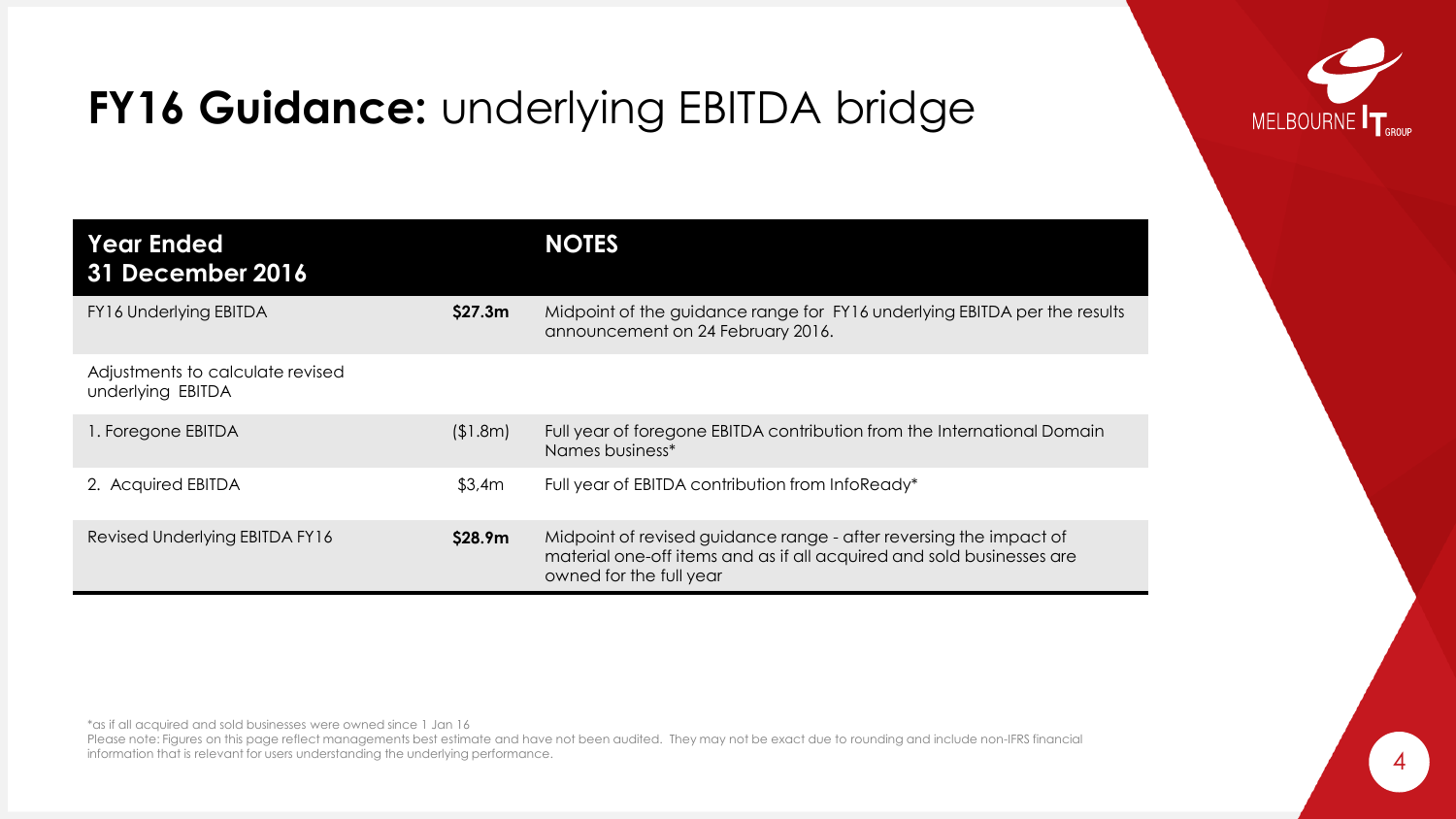

# **FY16 Guidance:** underlying EBITDA bridge

| <b>Year Ended</b><br><b>31 December 2016</b>          |                     | <b>NOTES</b>                                                                                                                                                           |
|-------------------------------------------------------|---------------------|------------------------------------------------------------------------------------------------------------------------------------------------------------------------|
| <b>FY16 Underlying EBITDA</b>                         | \$27.3 <sub>m</sub> | Midpoint of the guidance range for FY16 underlying EBITDA per the results<br>announcement on 24 February 2016.                                                         |
| Adjustments to calculate revised<br>underlying EBITDA |                     |                                                                                                                                                                        |
| 1. Foregone EBITDA                                    | (1.8m)              | Full year of foregone EBITDA contribution from the International Domain<br>Names business*                                                                             |
| 2. Acquired EBITDA                                    | \$3,4m              | Full year of EBITDA contribution from InfoReady*                                                                                                                       |
| Revised Underlying EBITDA FY16                        | \$28.9m             | Midpoint of revised guidance range - after reversing the impact of<br>material one-off items and as if all acquired and sold businesses are<br>owned for the full year |

\*as if all acquired and sold businesses were owned since 1 Jan 16

Please note: Figures on this page reflect managements best estimate and have not been audited. They may not be exact due to rounding and include non-IFRS financial information that is relevant for users understanding the underlying performance.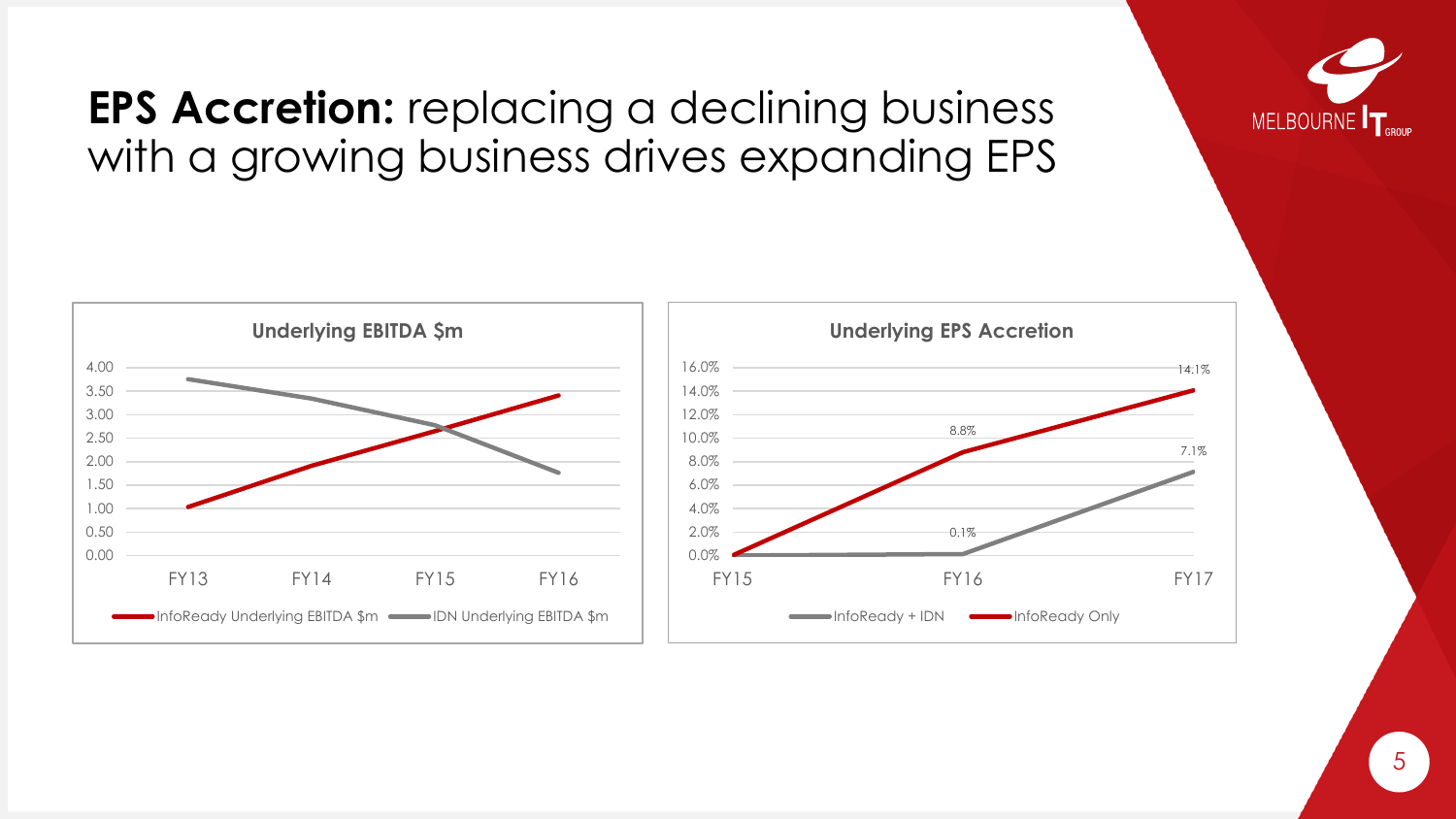

# **EPS Accretion:** replacing a declining business with a growing business drives expanding EPS

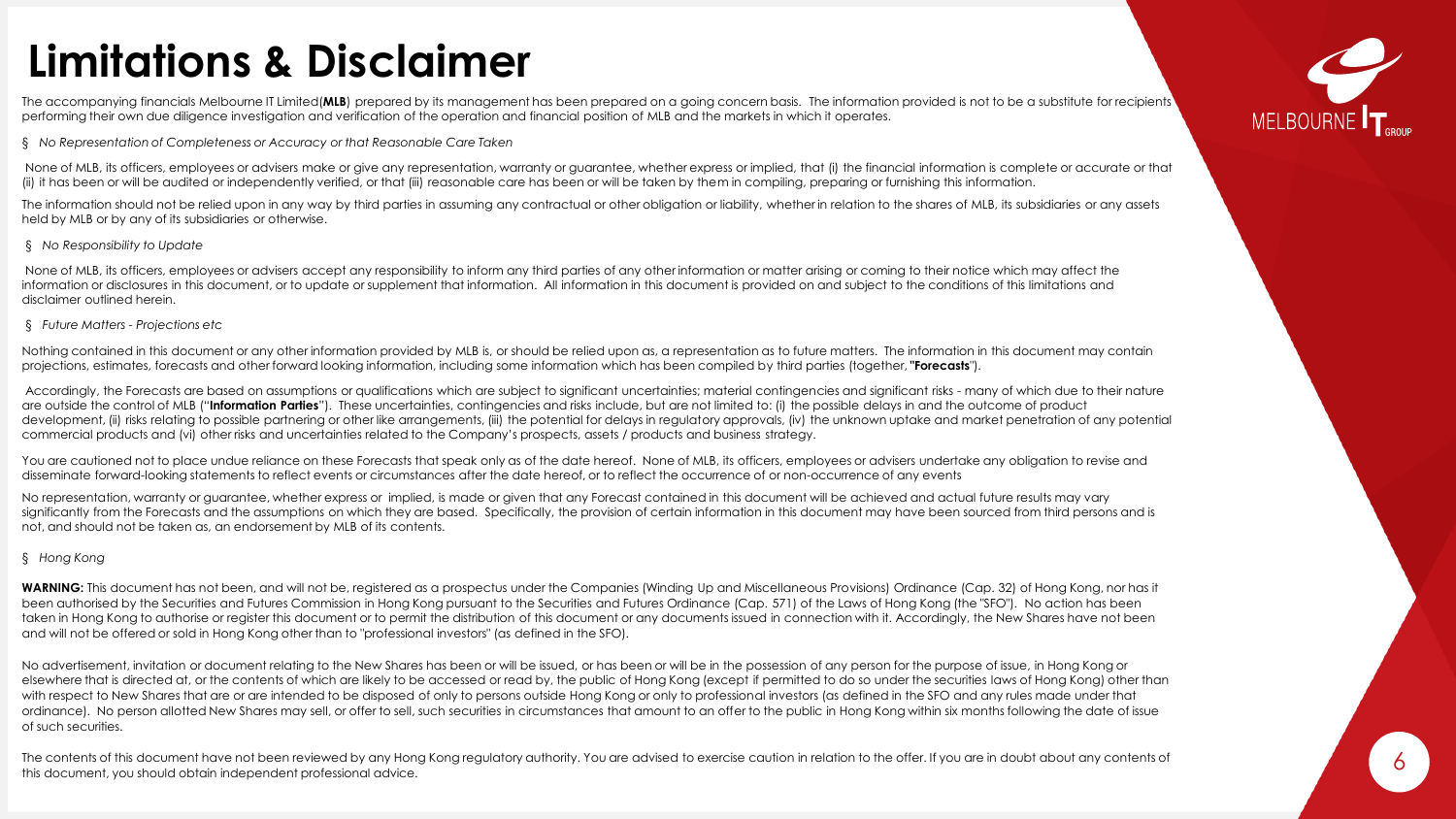# **Limitations & Disclaimer**

The accompanying financials Melbourne IT Limited(MLB) prepared by its management has been prepared on a going concern basis. The information provided is not to be a substitute for recipients performing their own due diligence investigation and verification of the operation and financial position of MLB and the markets in which it operates.

#### § *No Representation of Completeness or Accuracy or that Reasonable Care Taken*

None of MLB, its officers, employees or advisers make or give any representation, warranty or guarantee, whether express or implied, that (i) the financial information is complete or accurate or that (ii) it has been or will be audited or independently verified, or that (iii) reasonable care has been or will be taken by them in compiling, preparing or furnishing this information.

The information should not be relied upon in any way by third parties in assuming any contractual or other obligation or liability, whether in relation to the shares of MLB, its subsidiaries or any assets held by MLB or by any of its subsidiaries or otherwise.

#### § *No Responsibility to Update*

None of MLB, its officers, employees or advisers accept any responsibility to inform any third parties of any other information or matter arising or coming to their notice which may affect the information or disclosures in this document, or to update or supplement that information. All information in this document is provided on and subject to the conditions of this limitations and disclaimer outlined herein.

#### § *Future Matters - Projections etc*

Nothing contained in this document or any other information provided by MLB is, or should be relied upon as, a representation as to future matters. The information in this document may contain projections, estimates, forecasts and other forward looking information, including some information which has been compiled by third parties (together, **"Forecasts**").

Accordingly, the Forecasts are based on assumptions or qualifications which are subject to significant uncertainties; material contingencies and significant risks - many of which due to their nature are outside the control of MLB ("**Information Parties**"). These uncertainties, contingencies and risks include, but are not limited to: (i) the possible delays in and the outcome of product development, (ii) risks relating to possible partnering or other like arrangements, (iii) the potential for delays in regulatory approvals, (iv) the unknown uptake and market penetration of any potential commercial products and (vi) other risks and uncertainties related to the Company's prospects, assets / products and business strategy.

You are cautioned not to place undue reliance on these Forecasts that speak only as of the date hereof. None of MLB, its officers, employees or advisers undertake any obligation to revise and disseminate forward-looking statements to reflect events or circumstances after the date hereof, or to reflect the occurrence of or non-occurrence of any events

No representation, warranty or guarantee, whether express or implied, is made or given that any Forecast contained in this document will be achieved and actual future results may vary significantly from the Forecasts and the assumptions on which they are based. Specifically, the provision of certain information in this document may have been sourced from third persons and is not, and should not be taken as, an endorsement by MLB of its contents.

#### § *Hong Kong*

WARNING: This document has not been, and will not be, registered as a prospectus under the Companies (Winding Up and Miscellaneous Provisions) Ordinance (Cap. 32) of Hong Kong, nor has it been authorised by the Securities and Futures Commission in Hong Kong pursuant to the Securities and Futures Ordinance (Cap. 571) of the Laws of Hong Kong (the "SFO"). No action has been taken in Hong Kong to authorise or register this document or to permit the distribution of this document or any documents issued in connection with it. Accordingly, the New Shares have not been and will not be offered or sold in Hong Kong other than to "professional investors" (as defined in the SFO).

No advertisement, invitation or document relating to the New Shares has been or will be issued, or has been or will be in the possession of any person for the purpose of issue, in Hong Kong or elsewhere that is directed at, or the contents of which are likely to be accessed or read by, the public of Hong Kong (except if permitted to do so under the securities laws of Hong Kong) other than with respect to New Shares that are or are intended to be disposed of only to persons outside Hong Kong or only to professional investors (as defined in the SFO and any rules made under that ordinance). No person allotted New Shares may sell, or offer to sell, such securities in circumstances that amount to an offer to the public in Hong Kong within six months following the date of issue of such securities.

The contents of this document have not been reviewed by any Hong Kong regulatory authority. You are advised to exercise caution in relation to the offer. If you are in doubt about any contents of the state of the state of

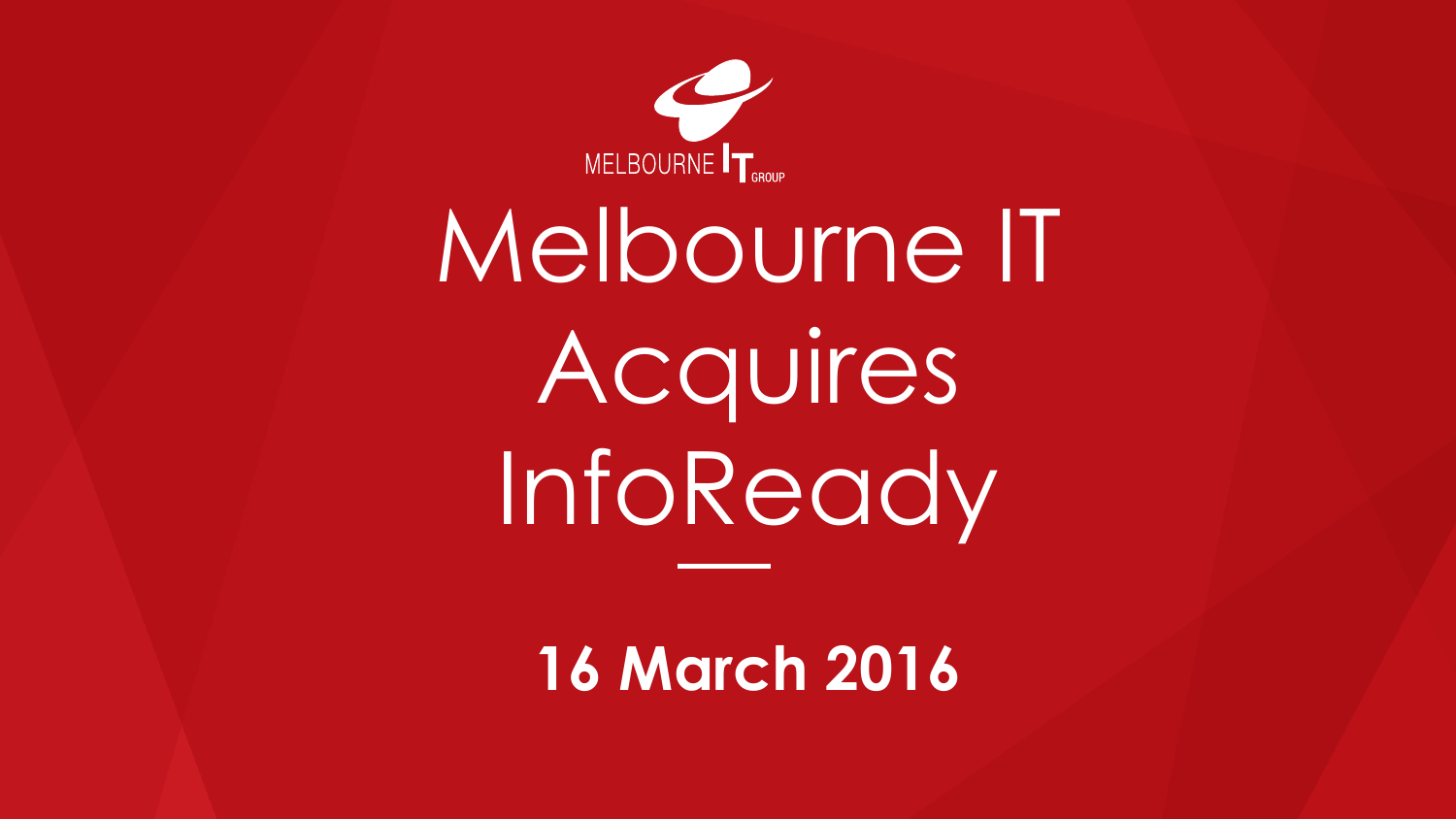

Melbourne IT Acquires **InfoReady** 

**16 March 2016**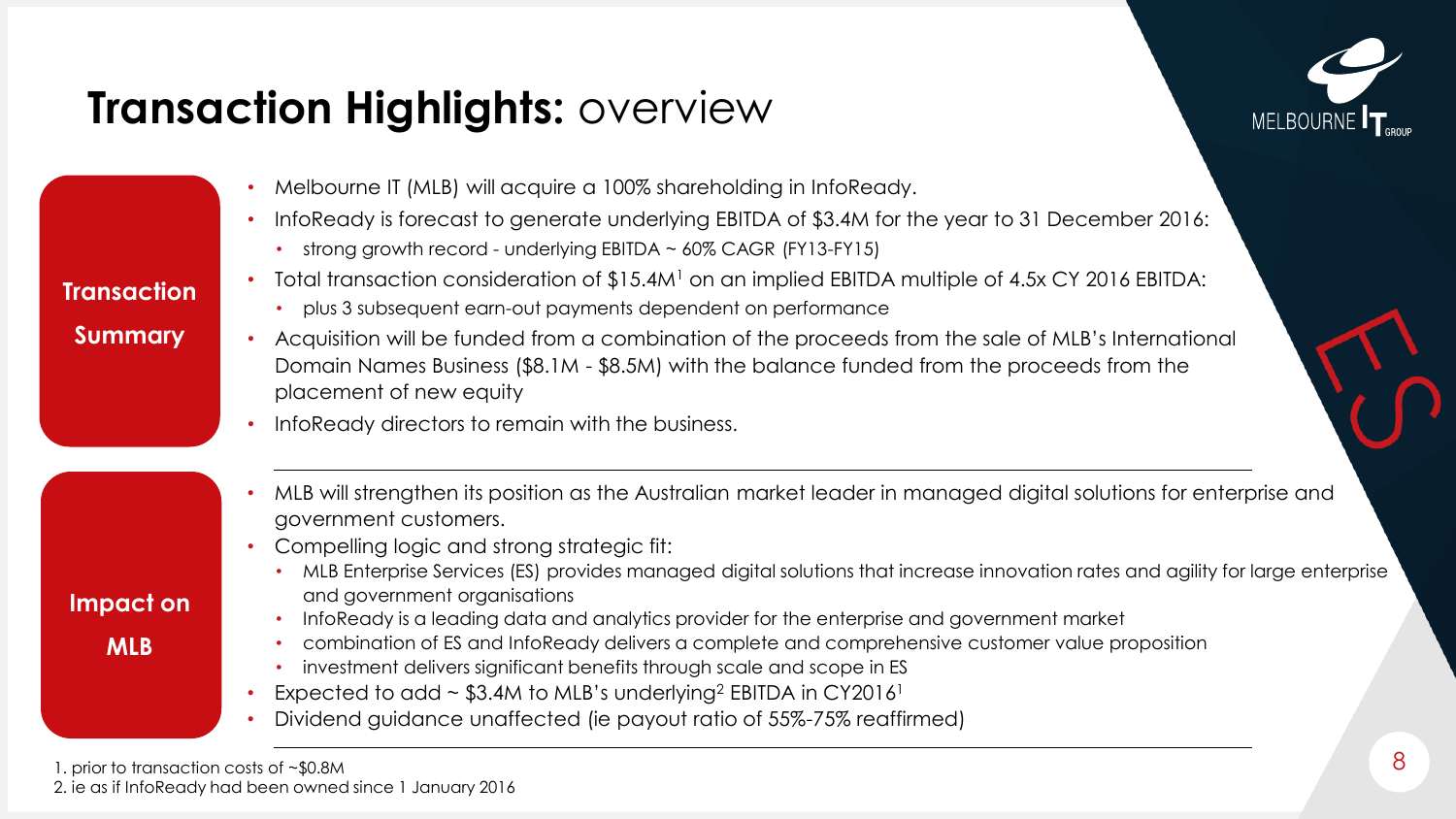# **Transaction Highlights: OVerview**



- Melbourne IT (MLB) will acquire a 100% shareholding in InfoReady.
	- InfoReady is forecast to generate underlying EBITDA of \$3.4M for the year to 31 December 2016:
		- strong growth record underlying EBITDA ~ 60% CAGR (FY13-FY15)
- Total transaction consideration of \$15.4M<sup>1</sup> on an implied EBITDA multiple of 4.5x CY 2016 EBITDA:
	- plus 3 subsequent earn-out payments dependent on performance
- Acquisition will be funded from a combination of the proceeds from the sale of MLB's International Domain Names Business (\$8.1M - \$8.5M) with the balance funded from the proceeds from the placement of new equity
	- InfoReady directors to remain with the business.
	- MLB will strengthen its position as the Australian market leader in managed digital solutions for enterprise and government customers.
	- Compelling logic and strong strategic fit:
		- MLB Enterprise Services (ES) provides managed digital solutions that increase innovation rates and agility for large enterprise and government organisations
		- InfoReady is a leading data and analytics provider for the enterprise and government market
		- combination of ES and InfoReady delivers a complete and comprehensive customer value proposition
		- investment delivers significant benefits through scale and scope in ES
	- Expected to add  $\sim$  \$3.4M to MLB's underlying<sup>2</sup> EBITDA in CY2016<sup>1</sup>
	- Dividend guidance unaffected (ie payout ratio of 55%-75% reaffirmed)

1. prior to transaction costs of ~\$0.8M 2. ie as if InfoReady had been owned since 1 January 2016

**Transaction** 

**Summary**

**Impact on** 

**MLB**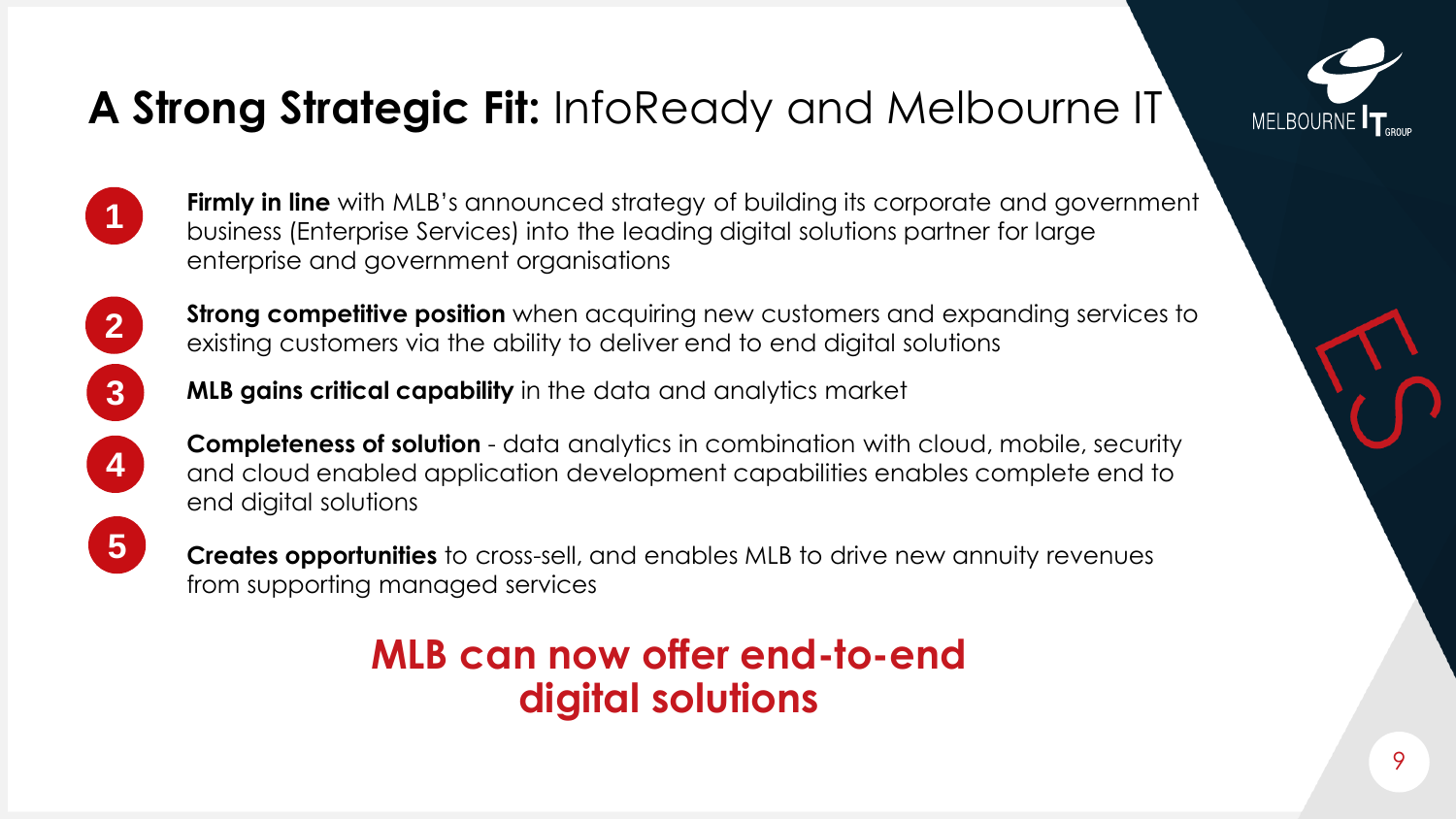

# **A Strong Strategic Fit:** InfoReady and Melbourne IT



**Firmly in line** with MLB's announced strategy of building its corporate and government business (Enterprise Services) into the leading digital solutions partner for large enterprise and government organisations



**3**

- **Strong competitive position** when acquiring new customers and expanding services to existing customers via the ability to deliver end to end digital solutions
- **MLB gains critical capability** in the data and analytics market



**5**

- **Completeness of solution**  data analytics in combination with cloud, mobile, security and cloud enabled application development capabilities enables complete end to end digital solutions
- **Creates opportunities** to cross-sell, and enables MLB to drive new annuity revenues from supporting managed services

# **MLB can now offer end-to-end digital solutions**

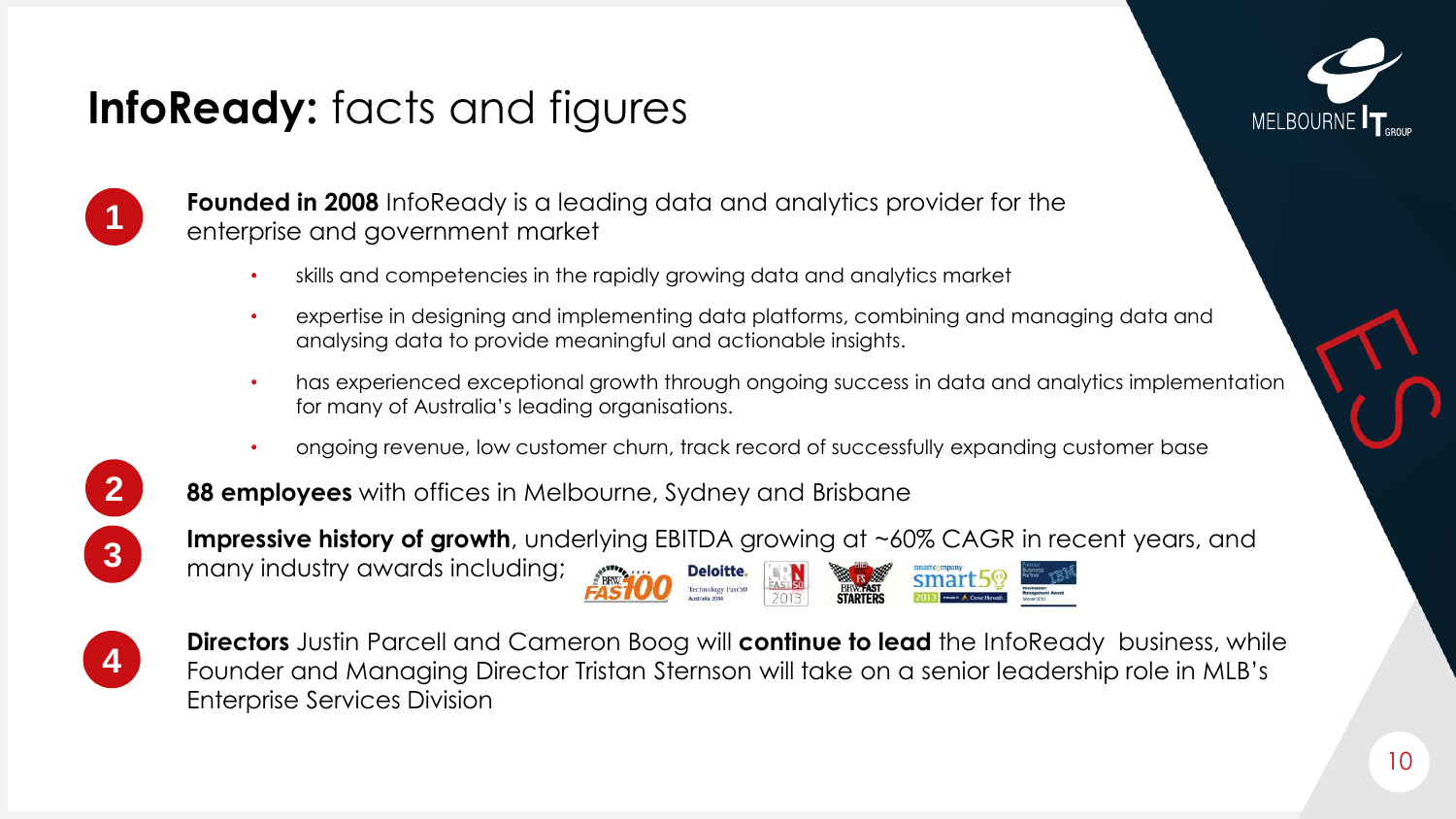# **InfoReady:** facts and figures



**Founded in 2008** InfoReady is a leading data and analytics provider for the enterprise and government market

- skills and competencies in the rapidly growing data and analytics market
- expertise in designing and implementing data platforms, combining and managing data and analysing data to provide meaningful and actionable insights.
- has experienced exceptional growth through ongoing success in data and analytics implementation for many of Australia's leading organisations.
- ongoing revenue, low customer churn, track record of successfully expanding customer base



**88 employees** with offices in Melbourne, Sydney and Brisbane

**Impressive history of growth**, underlying EBITDA growing at ~60% CAGR in recent years, and many industry awards including;



**Directors** Justin Parcell and Cameron Boog will **continue to lead** the InfoReady business, while Founder and Managing Director Tristan Sternson will take on a senior leadership role in MLB's Enterprise Services Division

MELBOURNE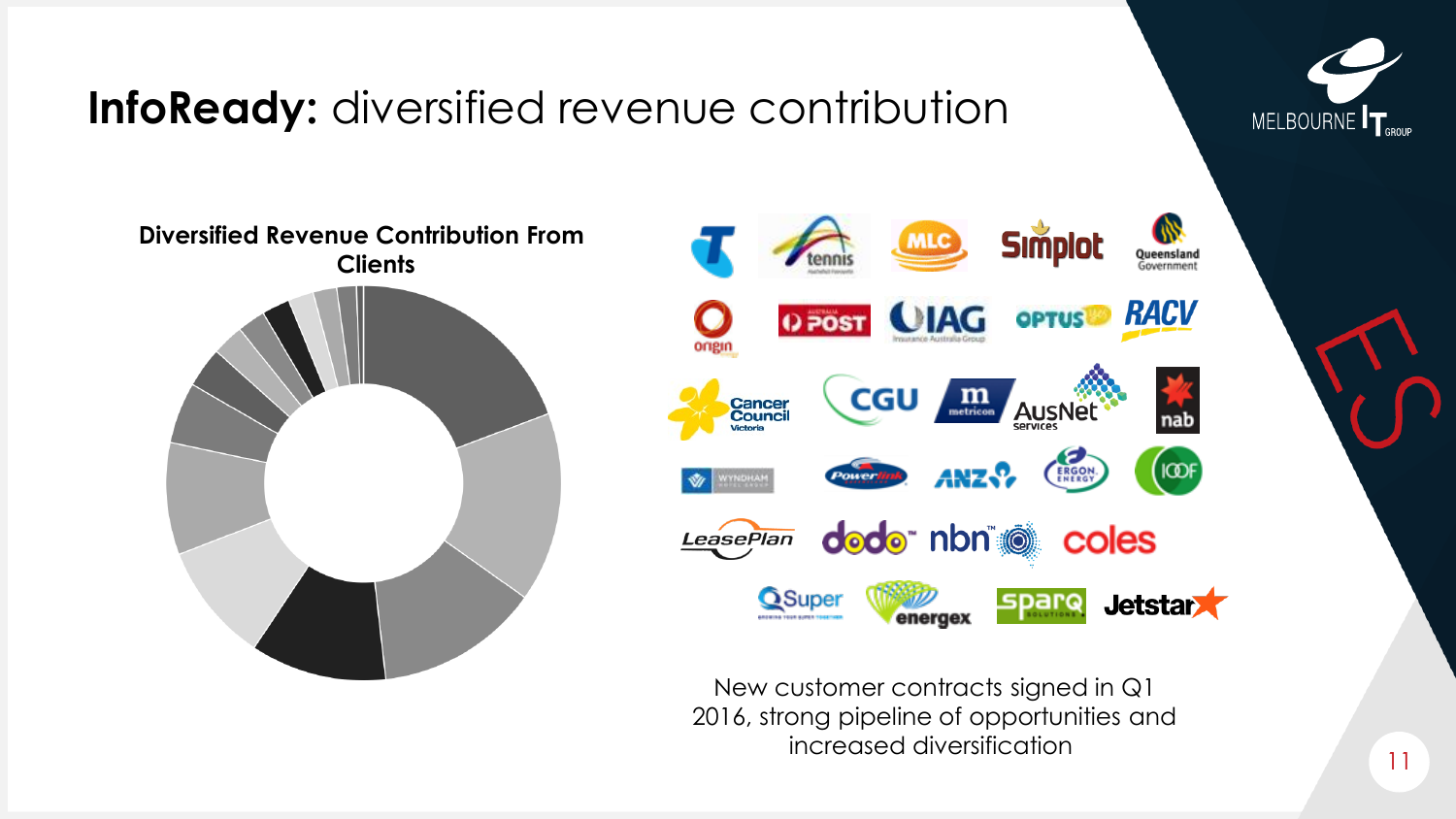

# **InfoReady:** diversified revenue contribution





New customer contracts signed in Q1 2016, strong pipeline of opportunities and increased diversification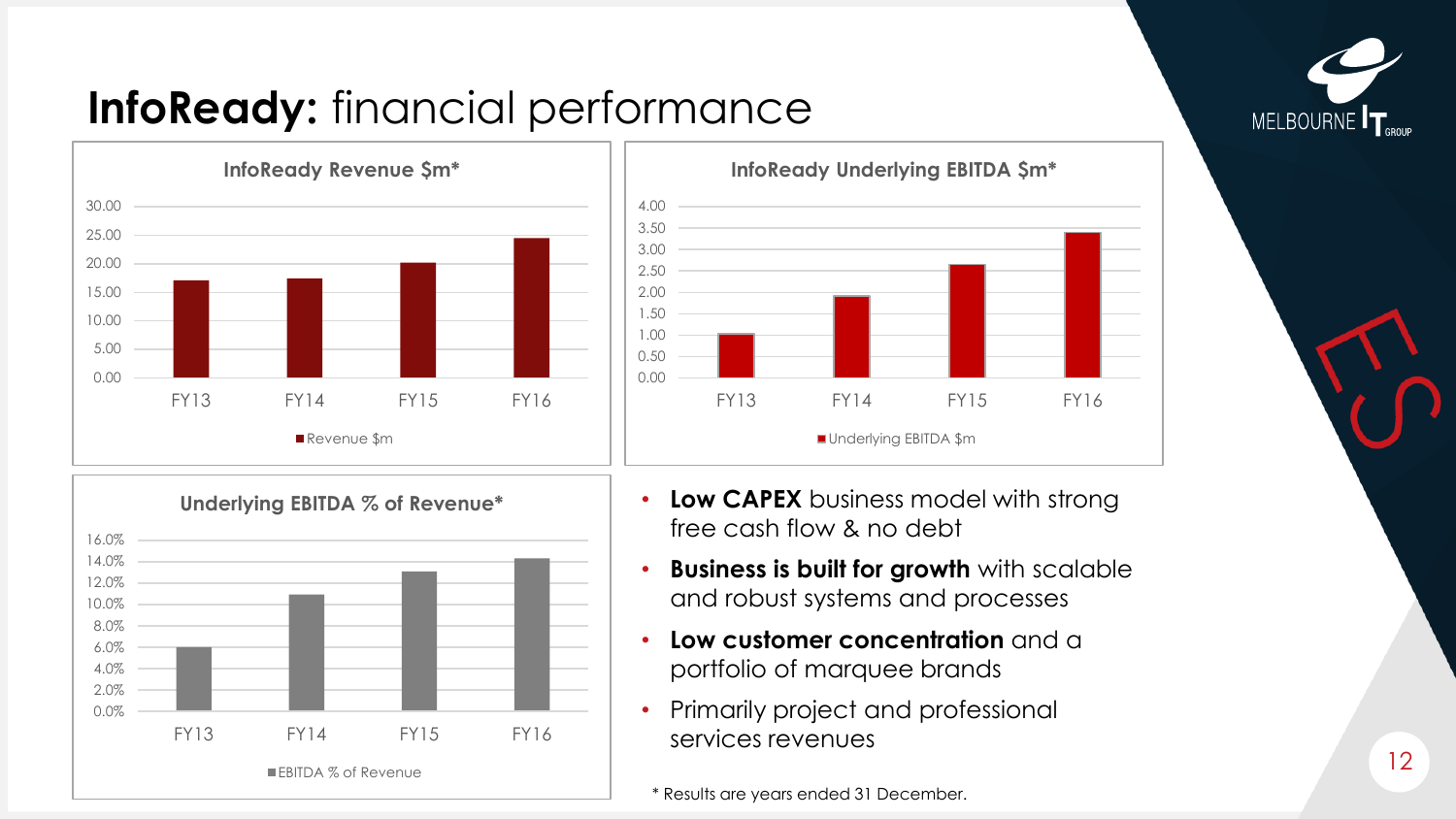

# **InfoReady:** financial performance







- **Low CAPEX** business model with strong free cash flow & no debt
- **Business is built for growth** with scalable and robust systems and processes
- **Low customer concentration** and a portfolio of marquee brands
- Primarily project and professional services revenues

\* Results are years ended 31 December.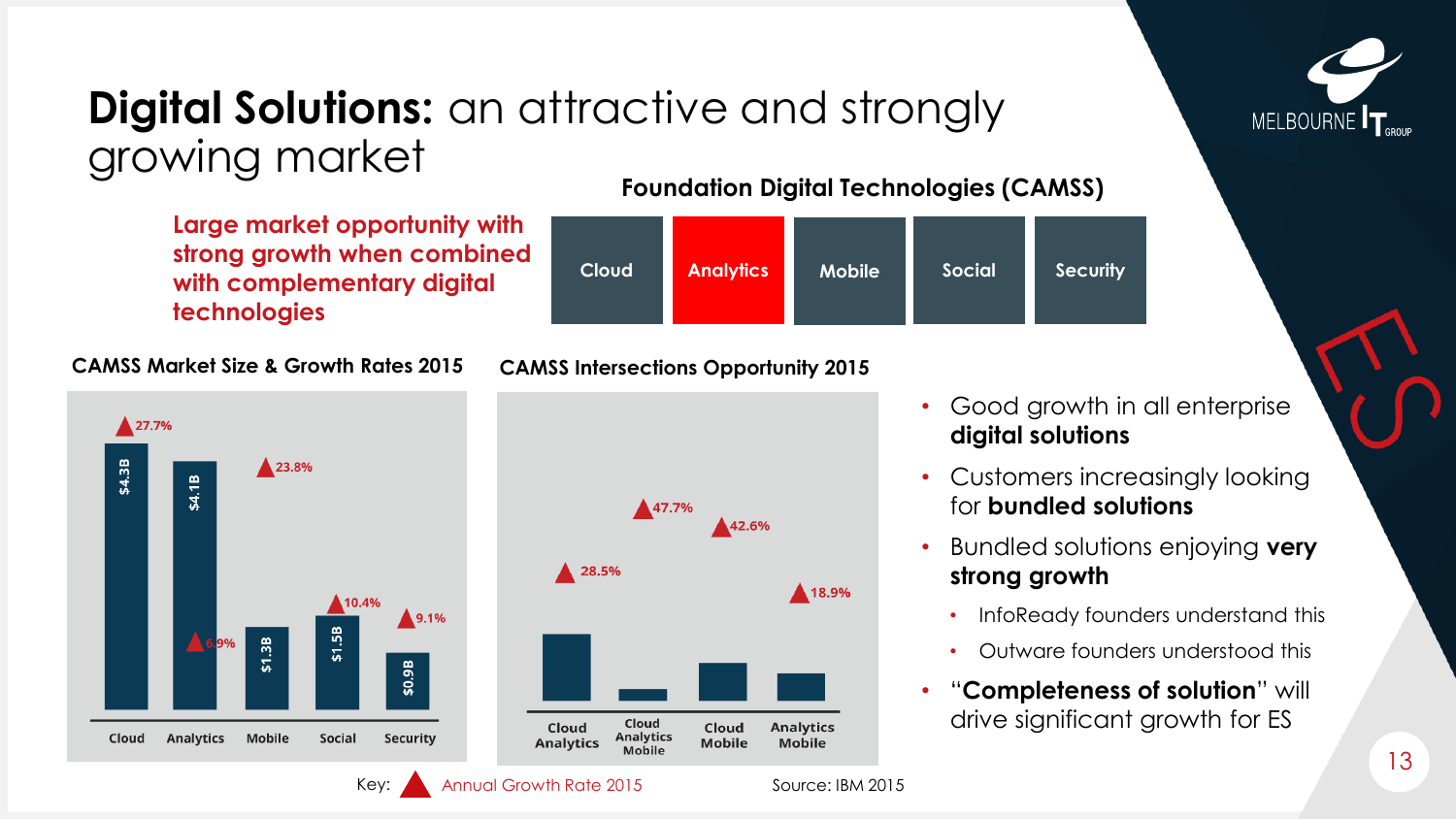

## **Digital Solutions:** an attractive and strongly growing market **Foundation Digital Technologies (CAMSS)**

**Large market opportunity with strong growth when combined with complementary digital technologies**

**CAMSS Market Size & Growth Rates 2015**



## **CAMSS Intersections Opportunity 2015**



- Good growth in all enterprise **digital solutions**
- Customers increasingly looking for **bundled solutions**
- Bundled solutions enjoying **very strong growth**
	- InfoReady founders understand this
	- Outware founders understood this
- "**Completeness of solution**" will drive significant growth for ES

**Cloud Analytics Mobile Social Security**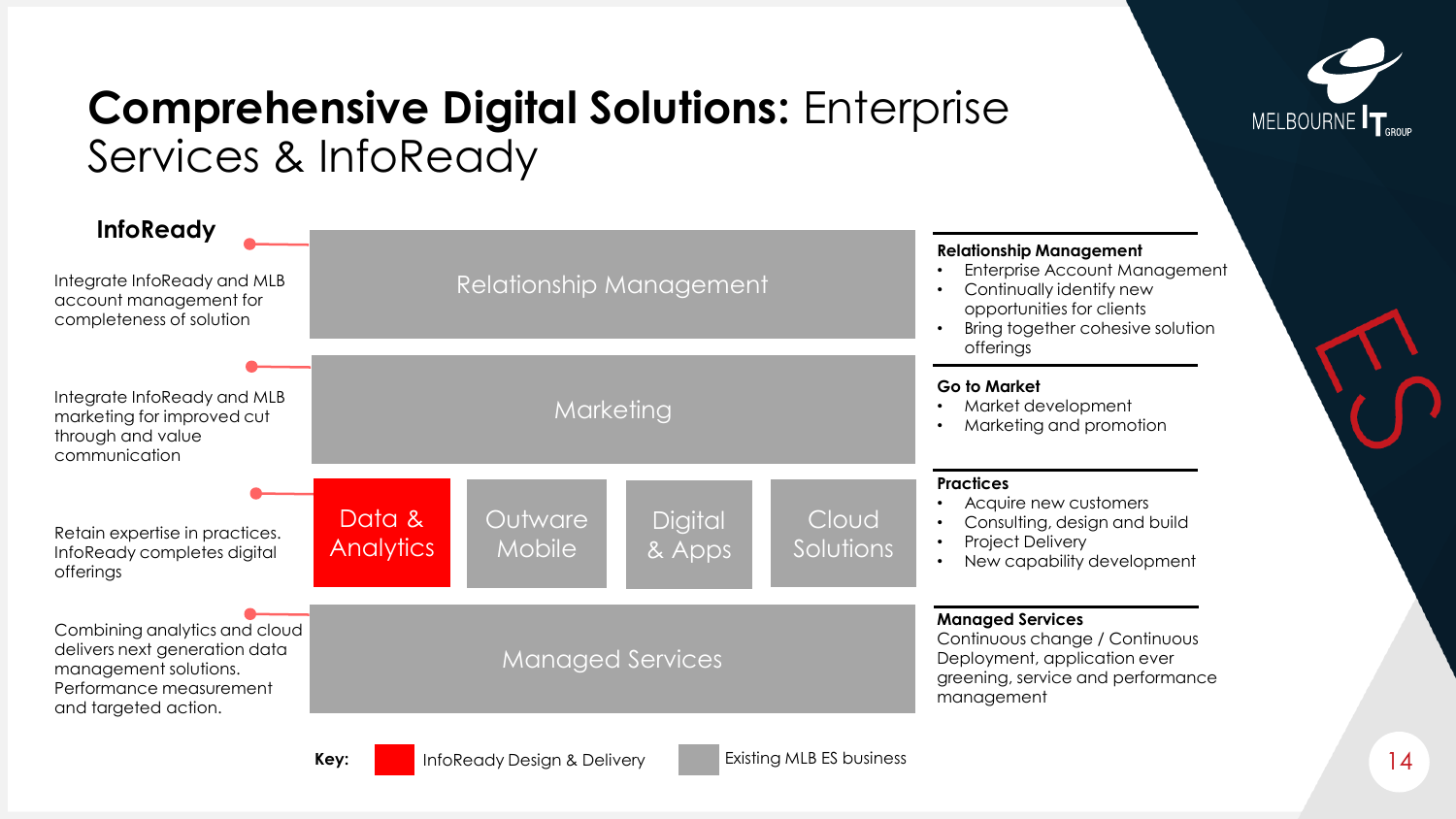

# **Comprehensive Digital Solutions:** Enterprise Services & InfoReady

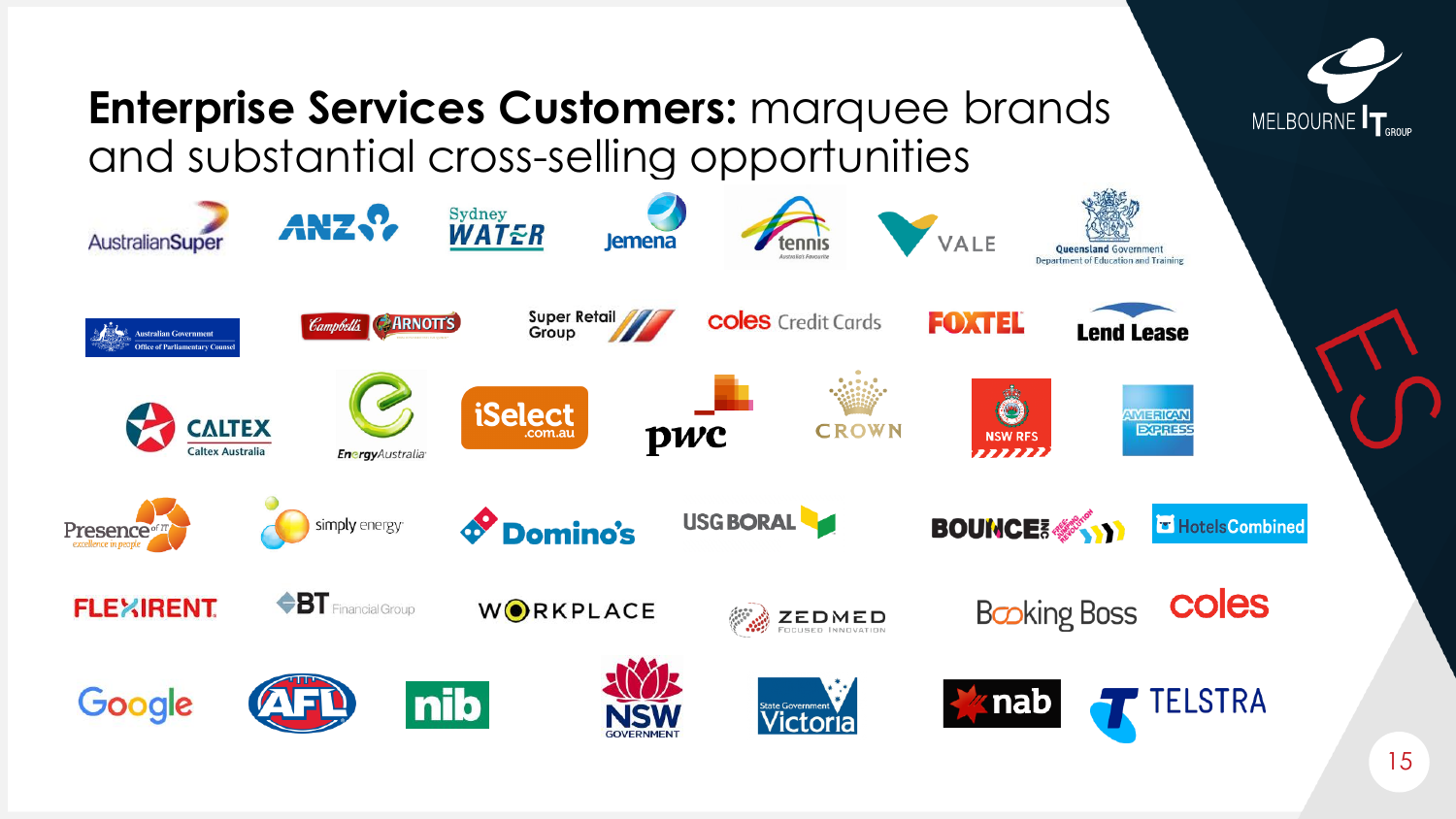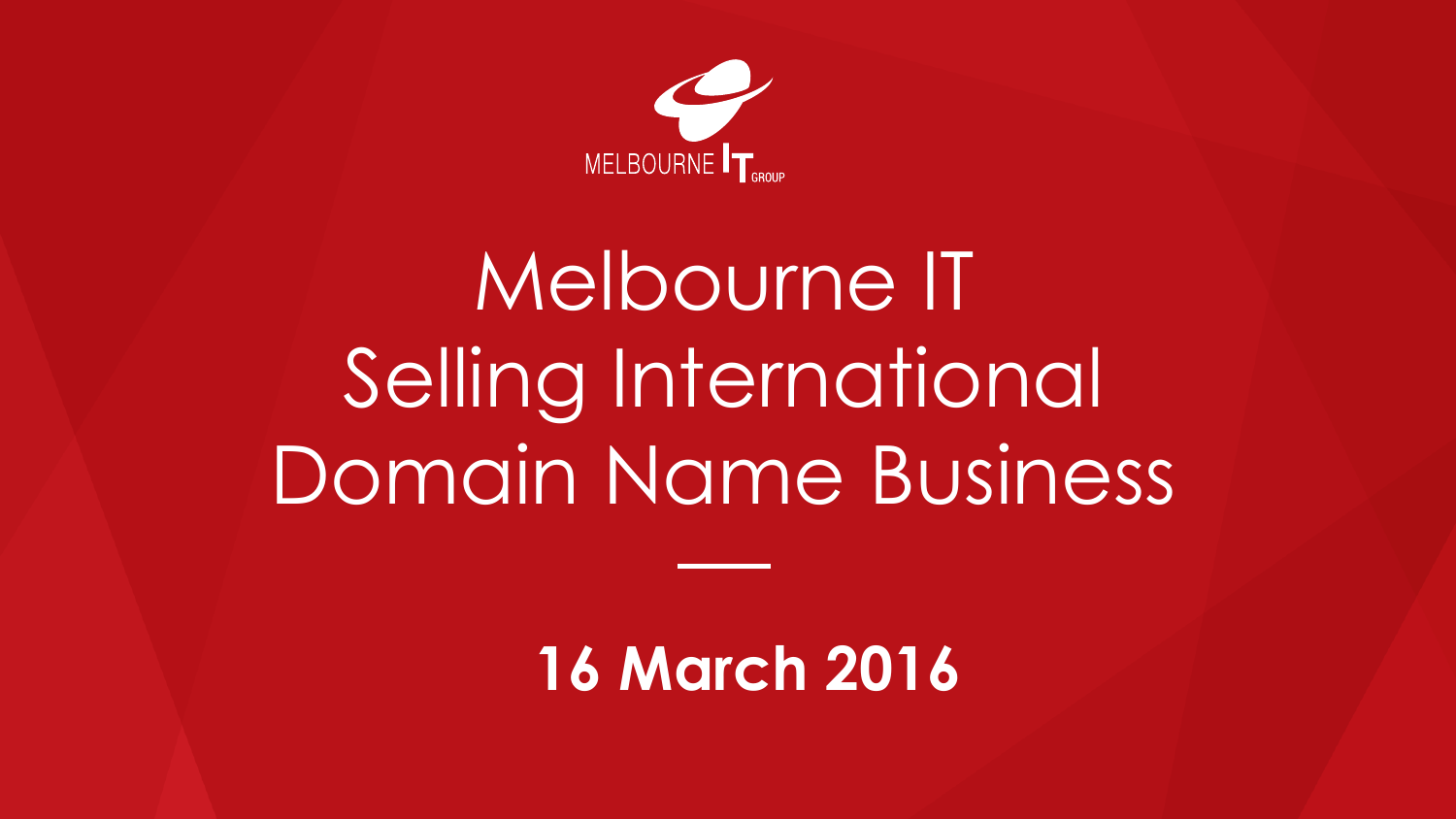

# Melbourne IT Selling International Domain Name Business

**16 March 2016**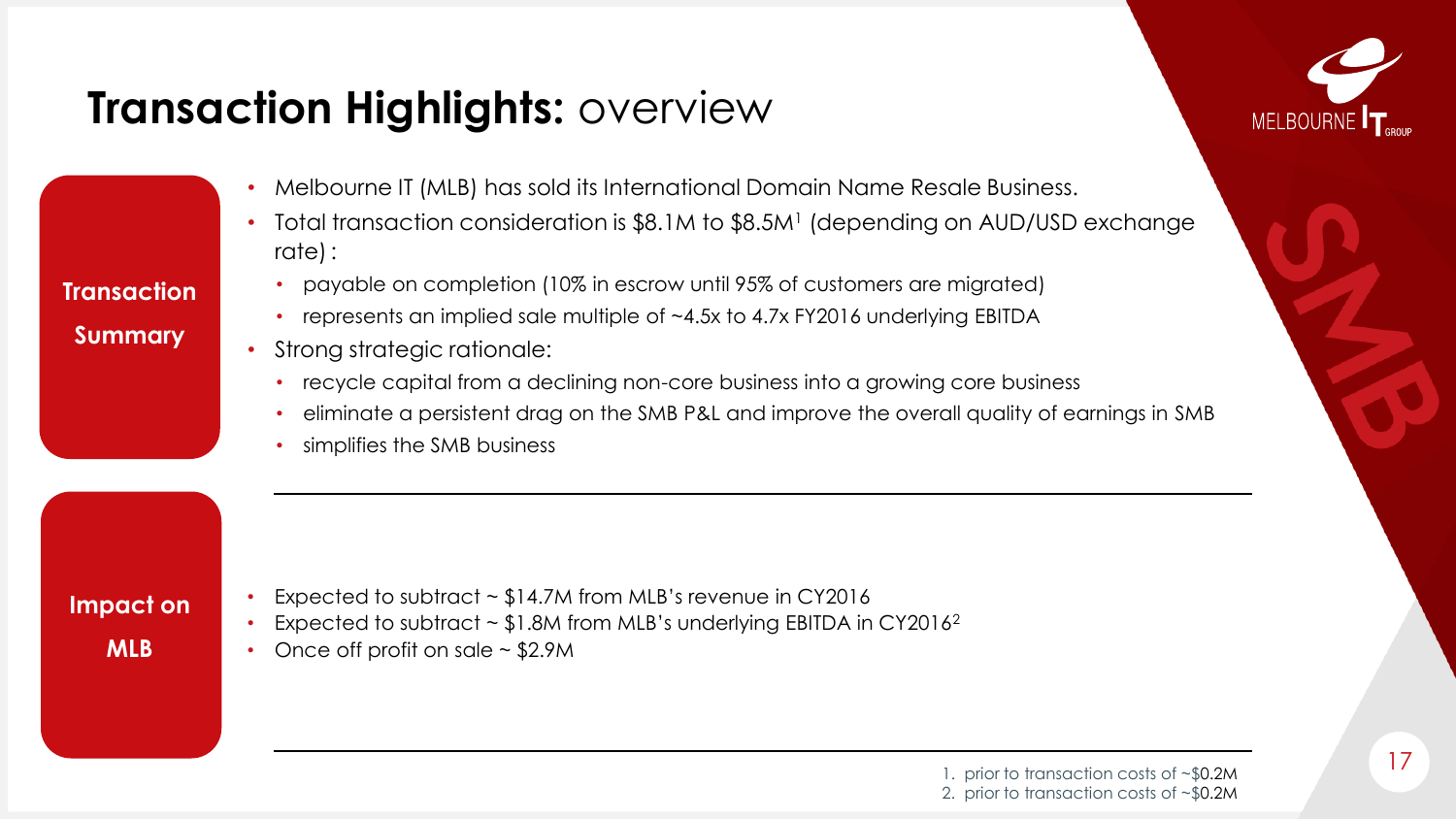# **Transaction Highlights: overview**

- Melbourne IT (MLB) has sold its International Domain Name Resale Business.
- Total transaction consideration is \$8.1M to \$8.5M<sup>1</sup> (depending on AUD/USD exchange rate):
	- payable on completion (10% in escrow until 95% of customers are migrated)
	- represents an implied sale multiple of ~4.5x to 4.7x FY2016 underlying EBITDA
- Strong strategic rationale:
	- recycle capital from a declining non-core business into a growing core business
	- eliminate a persistent drag on the SMB P&L and improve the overall quality of earnings in SMB
	- simplifies the SMB business

**Impact on MLB**

**Transaction** 

**Summary**

- Expected to subtract  $\sim$  \$14.7M from MLB's revenue in CY2016
- Expected to subtract  $\sim$  \$1.8M from MLB's underlying EBITDA in CY2016<sup>2</sup>
- Once off profit on sale  $\sim$  \$2.9M

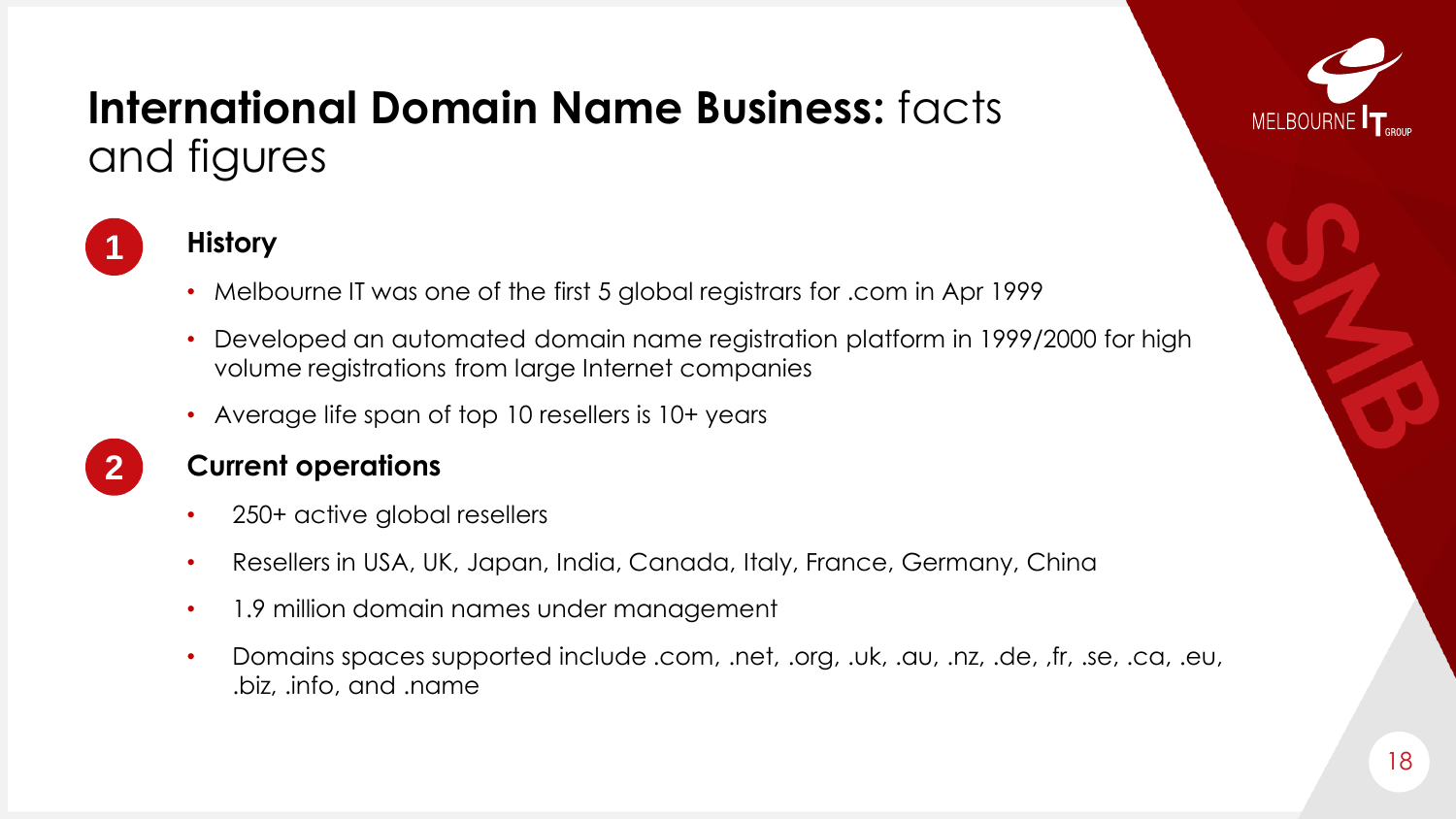

# **International Domain Name Business:** facts and figures



## **History**

- Melbourne IT was one of the first 5 global registrars for .com in Apr 1999
- Developed an automated domain name registration platform in 1999/2000 for high volume registrations from large Internet companies
- Average life span of top 10 resellers is 10+ years



## **Current operations**

- 250+ active global resellers
- Resellers in USA, UK, Japan, India, Canada, Italy, France, Germany, China
- 1.9 million domain names under management
- Domains spaces supported include .com, .net, .org, .uk, .au, .nz, .de, ,fr, .se, .ca, .eu, .biz, .info, and .name

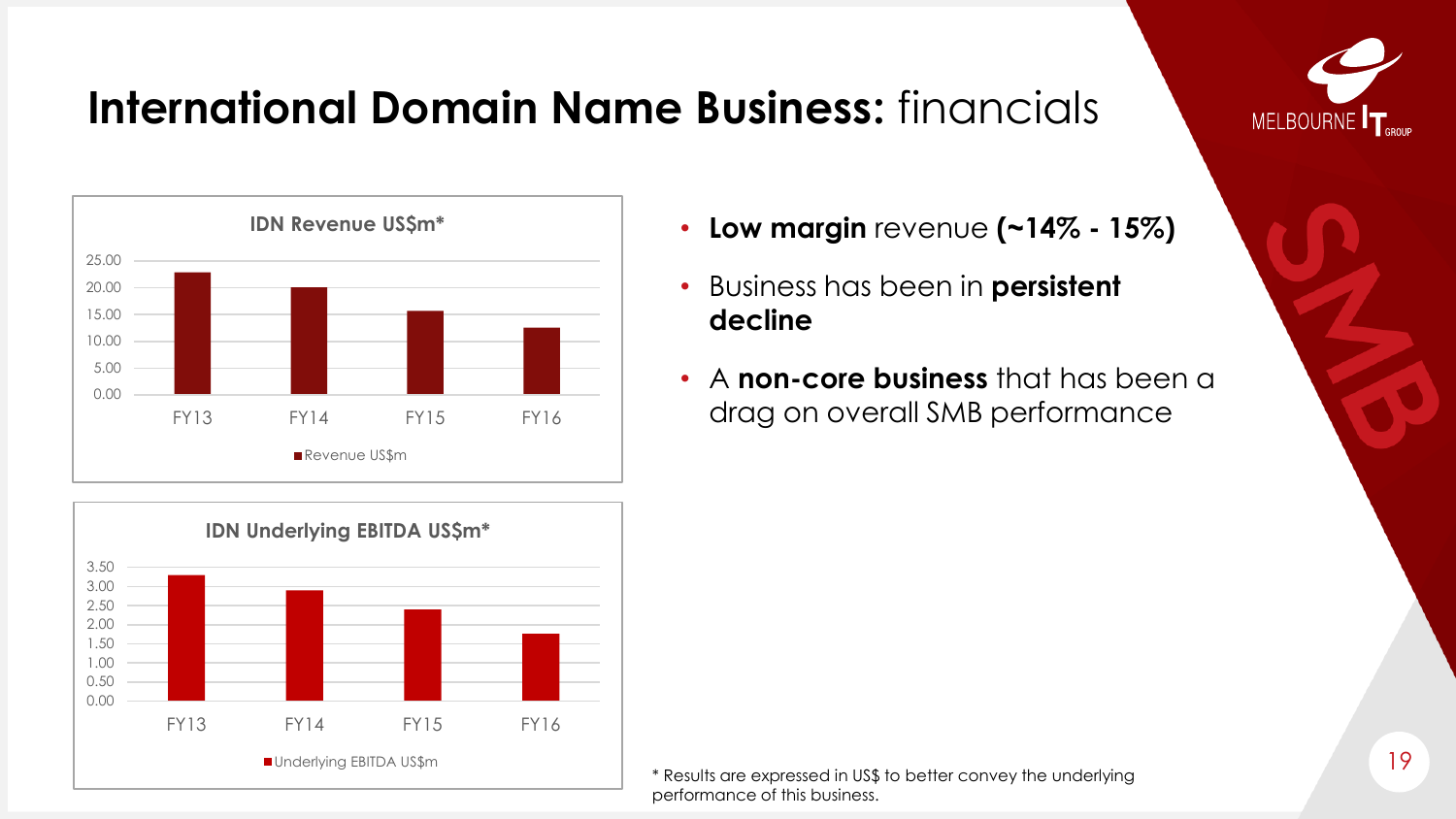

**MELBOURNE** 





19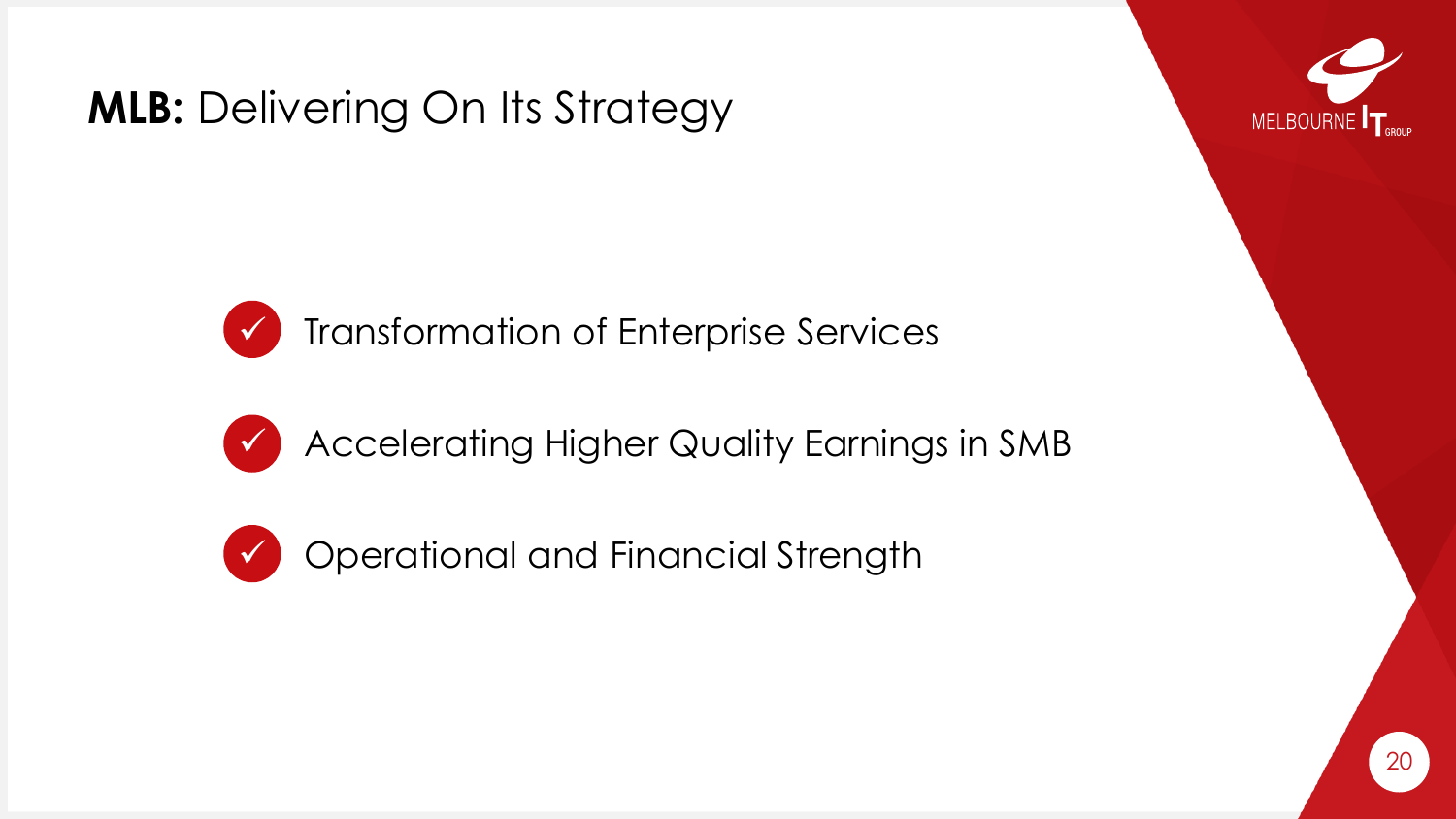**MLB:** Delivering On Its Strategy





 $\checkmark$  Transformation of Enterprise Services



**Accelerating Higher Quality Earnings in SMB** 



**V** Operational and Financial Strength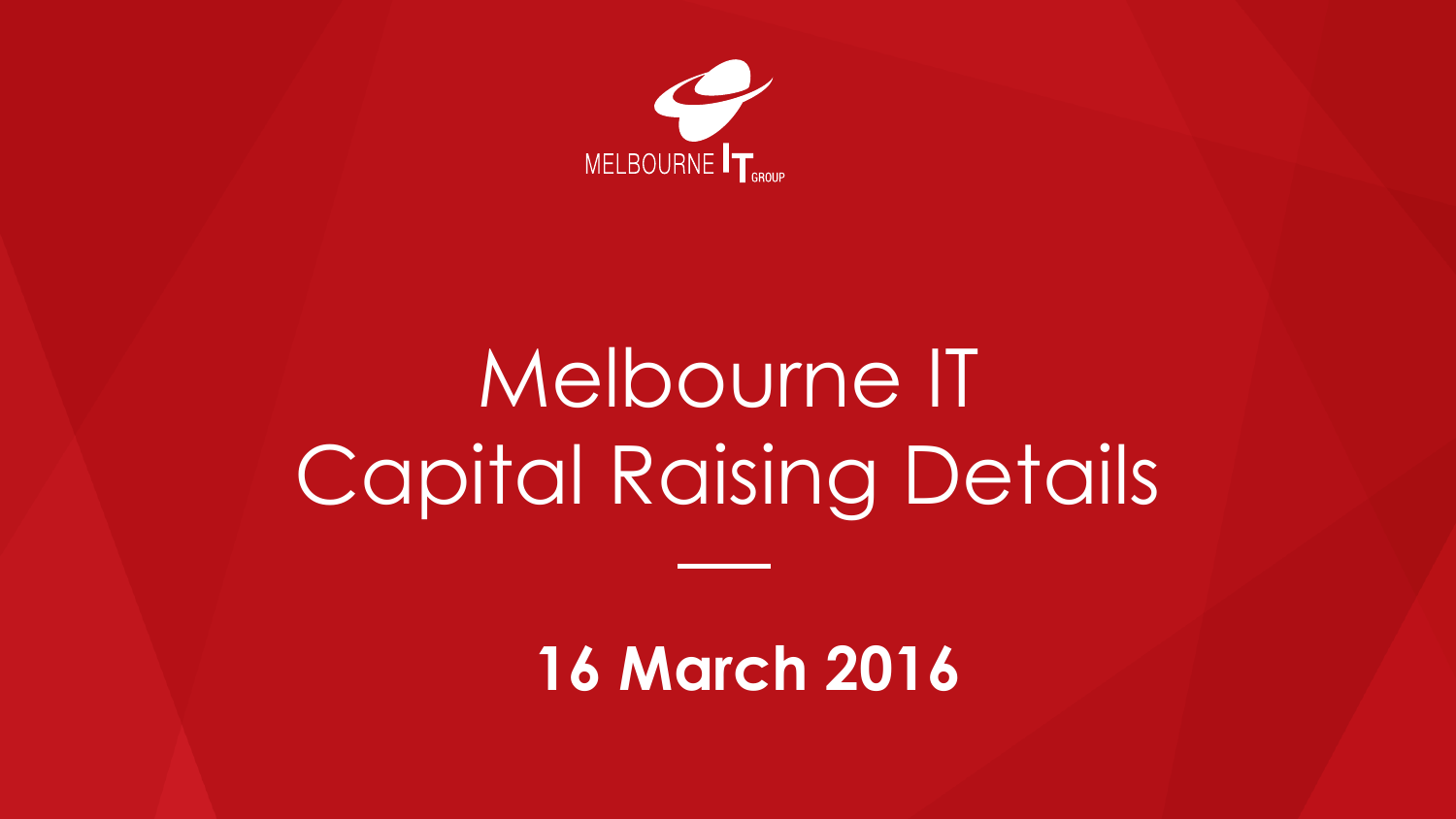

# Melbourne IT Capital Raising Details

**16 March 2016**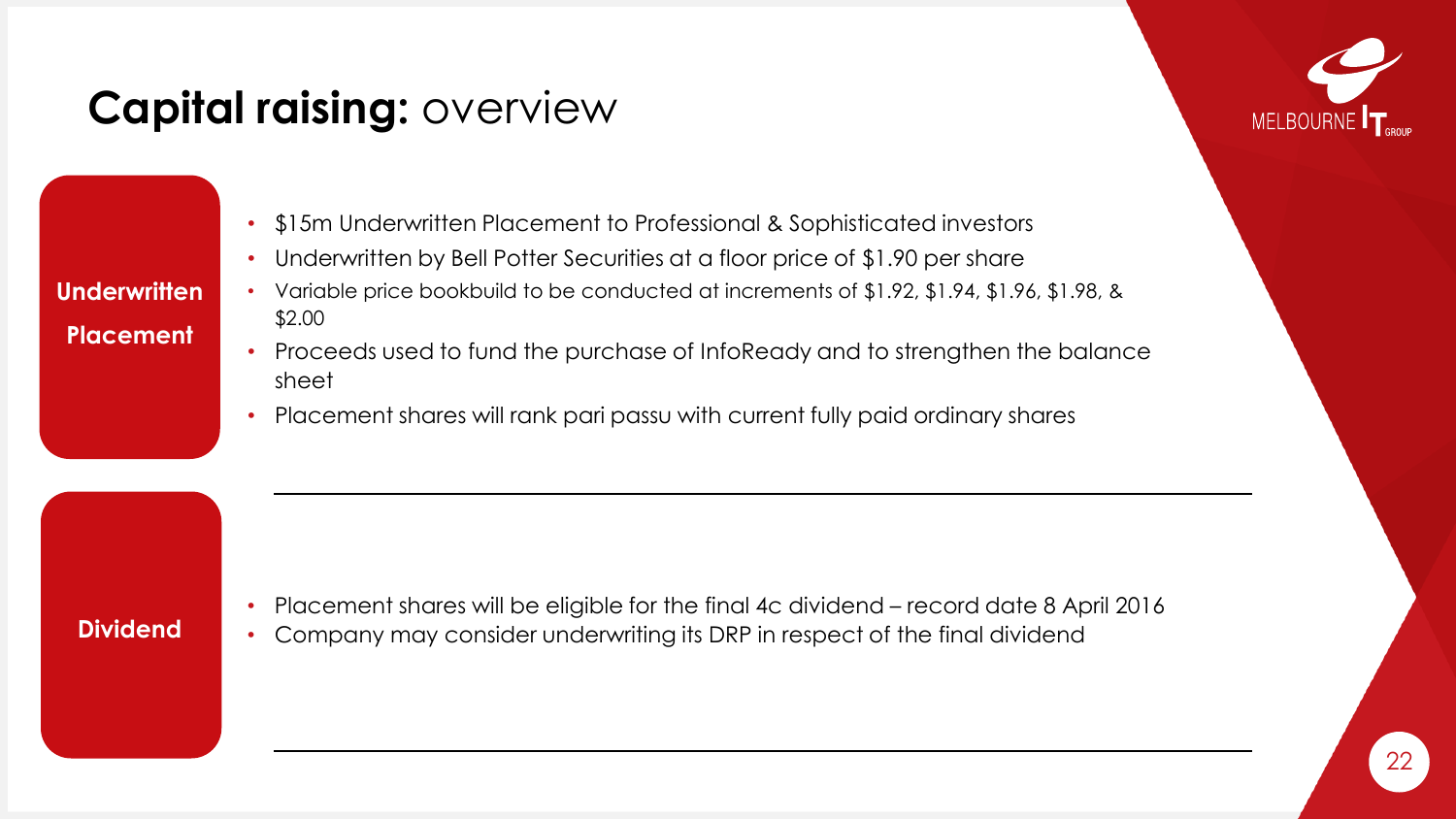# **MELBOURN**

# **Capital raising:** overview

- \$15m Underwritten Placement to Professional & Sophisticated investors
- Underwritten by Bell Potter Securities at a floor price of \$1.90 per share
- Variable price bookbuild to be conducted at increments of \$1.92, \$1.94, \$1.96, \$1.98, & \$2.00
- Proceeds used to fund the purchase of InfoReady and to strengthen the balance sheet
- Placement shares will rank pari passu with current fully paid ordinary shares

**Dividend**

**Underwritten** 

**Placement**

- Placement shares will be eligible for the final 4c dividend record date 8 April 2016
- Company may consider underwriting its DRP in respect of the final dividend